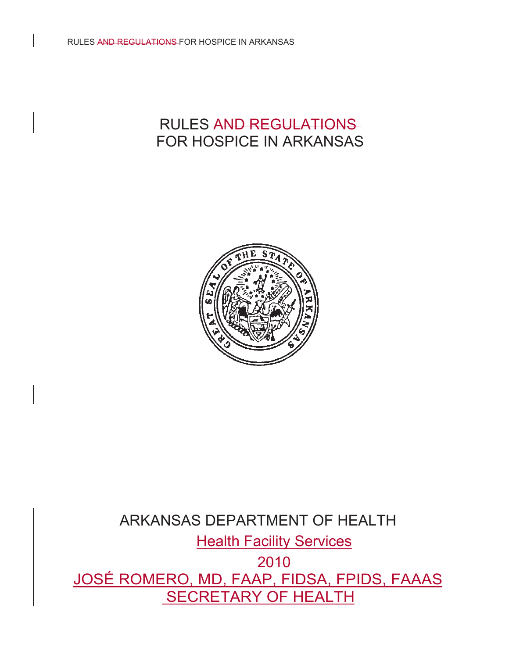

# ARKANSAS DEPARTMENT OF HEALTH **Health Facility Services** 2010 JOSÉ ROMERO, MD, FAAP, FIDSA, FPIDS, FAAAS SECRETARY OF HEALTH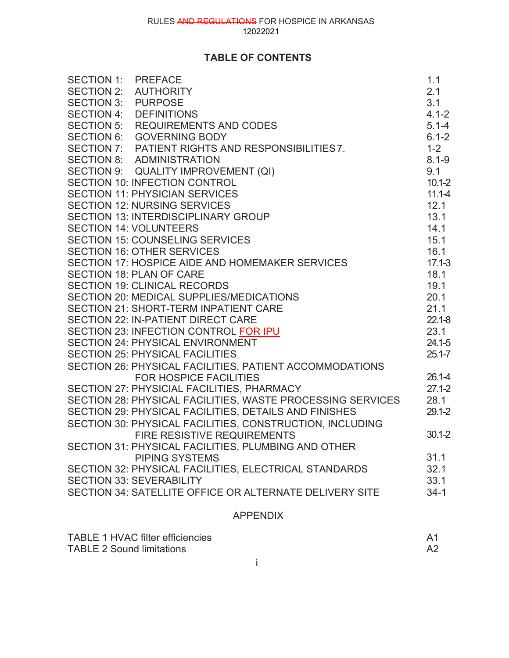# **TABLE OF CONTENTS**

| SECTION 16: OTHER SERVICES<br>SECTION 17: HOSPICE AIDE AND HOMEMAKER SERVICES | $17.1 - 3$ |
|-------------------------------------------------------------------------------|------------|
| <b>SECTION 18: PLAN OF CARE</b>                                               | 18.1       |
| <b>SECTION 19: CLINICAL RECORDS</b>                                           | 19.1       |
| SECTION 20: MEDICAL SUPPLIES/MEDICATIONS                                      | 20.1       |
| <b>SECTION 21: SHORT-TERM INPATIENT CARE</b>                                  | 21.1       |
| <b>SECTION 22: IN-PATIENT DIRECT CARE</b>                                     | $22.1 - 8$ |
| <b>SECTION 23: INFECTION CONTROL FOR IPU</b>                                  | 23.1       |
| <b>SECTION 24: PHYSICAL ENVIRONMENT</b>                                       | $24.1 - 5$ |
| <b>SECTION 25: PHYSICAL FACILITIES</b>                                        | $25.1 - 7$ |
| SECTION 26: PHYSICAL FACILITIES, PATIENT ACCOMMODATIONS                       |            |
| <b>FOR HOSPICE FACILITIES</b>                                                 | 26.1-4     |
| SECTION 27: PHYSICIAL FACILITIES, PHARMACY                                    | $27.1 - 2$ |
| SECTION 28: PHYSICAL FACILITIES, WASTE PROCESSING SERVICES                    | 28.1       |
| SECTION 29: PHYSICAL FACILITIES, DETAILS AND FINISHES                         | $29.1 - 2$ |
| SECTION 30: PHYSICAL FACILITIES, CONSTRUCTION, INCLUDING                      |            |
| <b>FIRE RESISTIVE REQUIREMENTS</b>                                            | $30.1 - 2$ |
| SECTION 31: PHYSICAL FACILITIES, PLUMBING AND OTHER                           |            |
| <b>PIPING SYSTEMS</b>                                                         | 31.1       |
| SECTION 32: PHYSICAL FACILITIES, ELECTRICAL STANDARDS                         | 32.1       |
| <b>SECTION 33: SEVERABILITY</b>                                               | 33.1       |
| SECTION 34: SATELLITE OFFICE OR ALTERNATE DELIVERY SITE                       | $34 - 1$   |
| <b>APPENDIX</b>                                                               |            |

| TABLE 1 HVAC filter efficiencies |  |
|----------------------------------|--|
| <b>TABLE 2 Sound limitations</b> |  |
|                                  |  |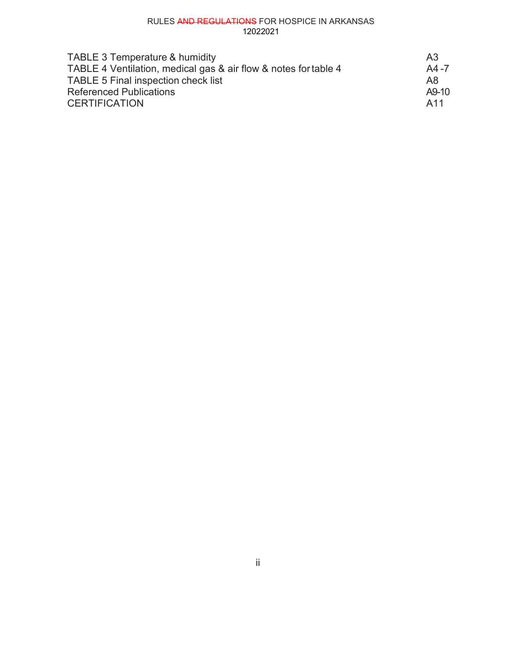| <b>TABLE 3 Temperature &amp; humidity</b>                       | A3<br>A4-7 |
|-----------------------------------------------------------------|------------|
| TABLE 4 Ventilation, medical gas & air flow & notes for table 4 |            |
| TABLE 5 Final inspection check list                             | A8.        |
| <b>Referenced Publications</b>                                  | A9-10      |
| <b>CERTIFICATION</b>                                            | A11        |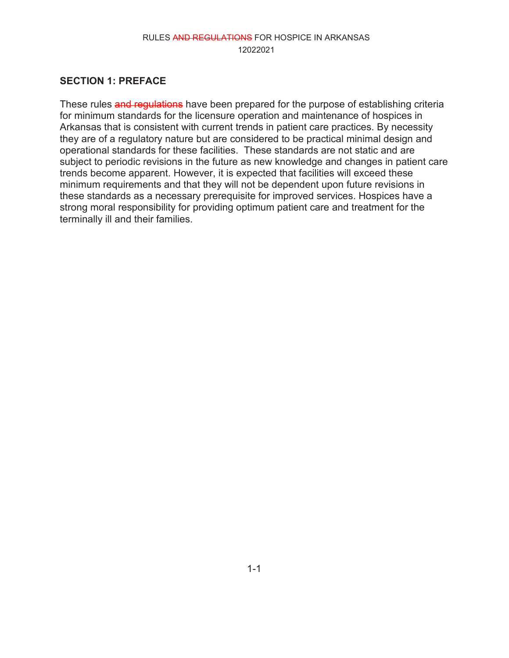#### **SECTION 1: PREFACE**

These rules and regulations have been prepared for the purpose of establishing criteria for minimum standards for the licensure operation and maintenance of hospices in Arkansas that is consistent with current trends in patient care practices. By necessity they are of a regulatory nature but are considered to be practical minimal design and operational standards for these facilities. These standards are not static and are subject to periodic revisions in the future as new knowledge and changes in patient care trends become apparent. However, it is expected that facilities will exceed these minimum requirements and that they will not be dependent upon future revisions in these standards as a necessary prerequisite for improved services. Hospices have a strong moral responsibility for providing optimum patient care and treatment for the terminally ill and their families.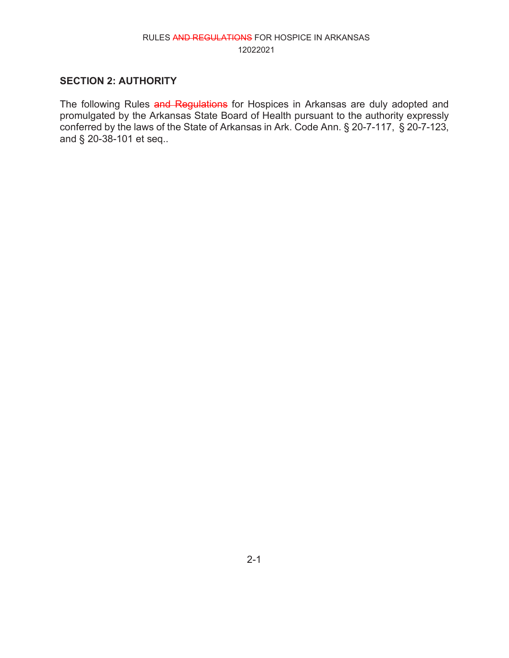#### **SECTION 2: AUTHORITY**

The following Rules and Regulations for Hospices in Arkansas are duly adopted and promulgated by the Arkansas State Board of Health pursuant to the authority expressly conferred by the laws of the State of Arkansas in Ark. Code Ann. § 20-7-117, § 20-7-123, and § 20-38-101 et seq..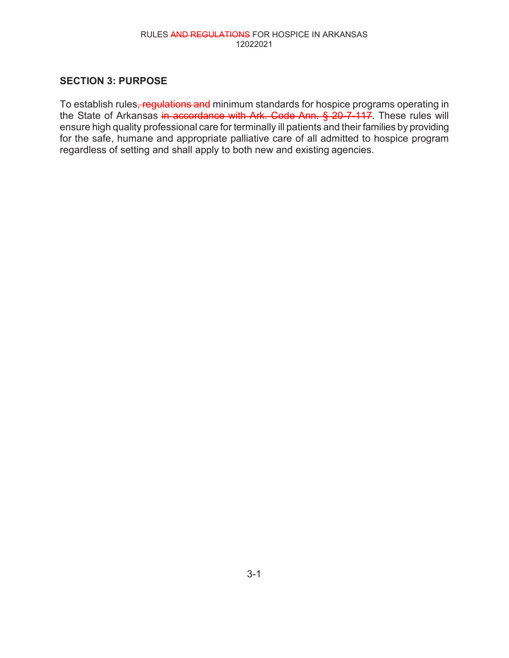#### **SECTION 3: PURPOSE**

To establish rules, regulations and minimum standards for hospice programs operating in the State of Arkansas in accordance with Ark. Code Ann. § 20-7-117. These rules will ensure high quality professional care for terminally ill patients and their families by providing for the safe, humane and appropriate palliative care of all admitted to hospice program regardless of setting and shall apply to both new and existing agencies.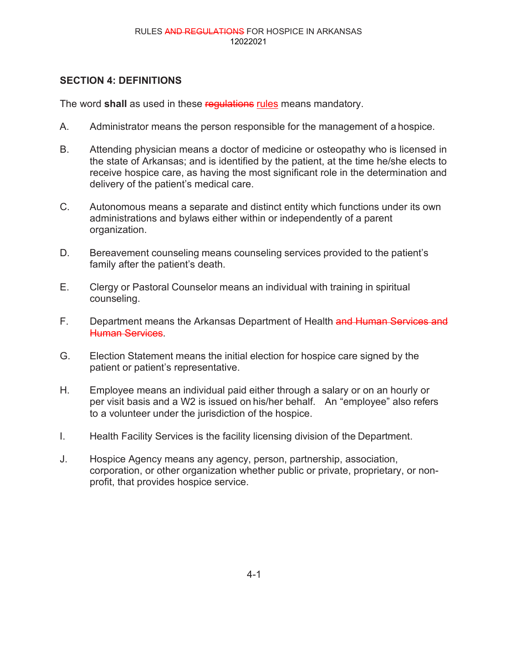# **SECTION 4: DEFINITIONS**

The word **shall** as used in these regulations rules means mandatory.

- A. Administrator means the person responsible for the management of a hospice.
- B. Attending physician means a doctor of medicine or osteopathy who is licensed in the state of Arkansas; and is identified by the patient, at the time he/she elects to receive hospice care, as having the most significant role in the determination and delivery of the patient's medical care.
- C. Autonomous means a separate and distinct entity which functions under its own administrations and bylaws either within or independently of a parent organization.
- D. Bereavement counseling means counseling services provided to the patient's family after the patient's death.
- E. Clergy or Pastoral Counselor means an individual with training in spiritual counseling.
- F. Department means the Arkansas Department of Health and Human Services and Human Services.
- G. Election Statement means the initial election for hospice care signed by the patient or patient's representative.
- H. Employee means an individual paid either through a salary or on an hourly or per visit basis and a W2 is issued on his/her behalf. An "employee" also refers to a volunteer under the jurisdiction of the hospice.
- I. Health Facility Services is the facility licensing division of the Department.
- J. Hospice Agency means any agency, person, partnership, association, corporation, or other organization whether public or private, proprietary, or nonprofit, that provides hospice service.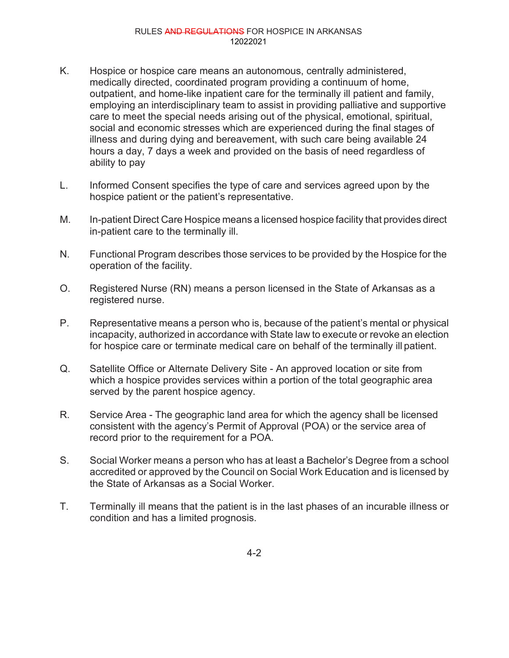- K. Hospice or hospice care means an autonomous, centrally administered, medically directed, coordinated program providing a continuum of home, outpatient, and home-like inpatient care for the terminally ill patient and family, employing an interdisciplinary team to assist in providing palliative and supportive care to meet the special needs arising out of the physical, emotional, spiritual, social and economic stresses which are experienced during the final stages of illness and during dying and bereavement, with such care being available 24 hours a day, 7 days a week and provided on the basis of need regardless of ability to pay
- L. Informed Consent specifies the type of care and services agreed upon by the hospice patient or the patient's representative.
- M. In-patient Direct Care Hospice means a licensed hospice facility that provides direct in-patient care to the terminally ill.
- N. Functional Program describes those services to be provided by the Hospice for the operation of the facility.
- O. Registered Nurse (RN) means a person licensed in the State of Arkansas as a registered nurse.
- P. Representative means a person who is, because of the patient's mental or physical incapacity, authorized in accordance with State law to execute or revoke an election for hospice care or terminate medical care on behalf of the terminally ill patient.
- Q. Satellite Office or Alternate Delivery Site An approved location or site from which a hospice provides services within a portion of the total geographic area served by the parent hospice agency.
- R. Service Area The geographic land area for which the agency shall be licensed consistent with the agency's Permit of Approval (POA) or the service area of record prior to the requirement for a POA.
- S. Social Worker means a person who has at least a Bachelor's Degree from a school accredited or approved by the Council on Social Work Education and is licensed by the State of Arkansas as a Social Worker.
- T. Terminally ill means that the patient is in the last phases of an incurable illness or condition and has a limited prognosis.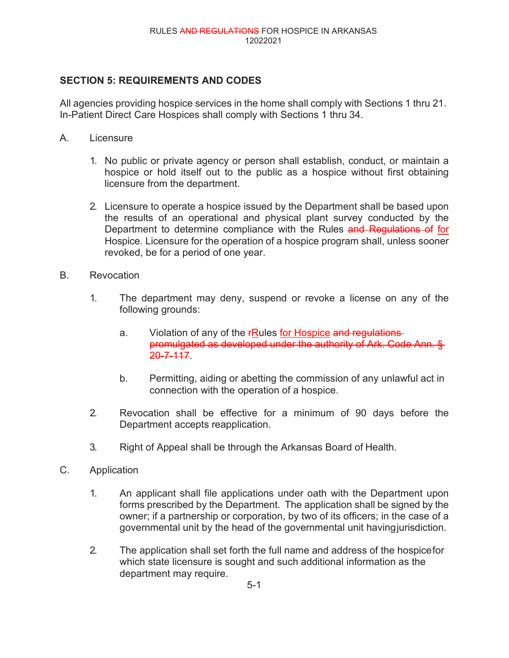## **SECTION 5: REQUIREMENTS AND CODES**

All agencies providing hospice services in the home shall comply with Sections 1 thru 21. In-Patient Direct Care Hospices shall comply with Sections 1 thru 34.

- A. Licensure
	- 1. No public or private agency or person shall establish, conduct, or maintain a hospice or hold itself out to the public as a hospice without first obtaining licensure from the department.
	- 2. Licensure to operate a hospice issued by the Department shall be based upon the results of an operational and physical plant survey conducted by the Department to determine compliance with the Rules and Regulations of for Hospice. Licensure for the operation of a hospice program shall, unless sooner revoked, be for a period of one year.
- B. Revocation
	- 1. The department may deny, suspend or revoke a license on any of the following grounds:
		- a. Violation of any of the **FRules for Hospice and regulations** promulgated as developed under the authority of Ark. Code Ann. § 20-7-117.
		- b. Permitting, aiding or abetting the commission of any unlawful act in connection with the operation of a hospice.
	- 2. Revocation shall be effective for a minimum of 90 days before the Department accepts reapplication.
	- 3. Right of Appeal shall be through the Arkansas Board of Health.
- C. Application
	- 1. An applicant shall file applications under oath with the Department upon forms prescribed by the Department. The application shall be signed by the owner; if a partnership or corporation, by two of its officers; in the case of a governmental unit by the head of the governmental unit havingjurisdiction.
	- 2. The application shall set forth the full name and address of the hospicefor which state licensure is sought and such additional information as the department may require.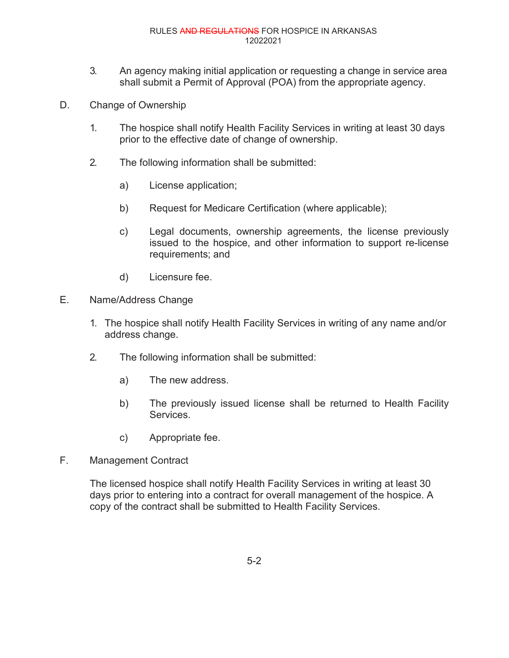- 3. An agency making initial application or requesting a change in service area shall submit a Permit of Approval (POA) from the appropriate agency.
- D. Change of Ownership
	- 1. The hospice shall notify Health Facility Services in writing at least 30 days prior to the effective date of change of ownership.
	- 2. The following information shall be submitted:
		- a) License application;
		- b) Request for Medicare Certification (where applicable);
		- c) Legal documents, ownership agreements, the license previously issued to the hospice, and other information to support re-license requirements; and
		- d) Licensure fee.
- E. Name/Address Change
	- 1. The hospice shall notify Health Facility Services in writing of any name and/or address change.
	- 2. The following information shall be submitted:
		- a) The new address.
		- b) The previously issued license shall be returned to Health Facility Services.
		- c) Appropriate fee.
- F. Management Contract

The licensed hospice shall notify Health Facility Services in writing at least 30 days prior to entering into a contract for overall management of the hospice. A copy of the contract shall be submitted to Health Facility Services.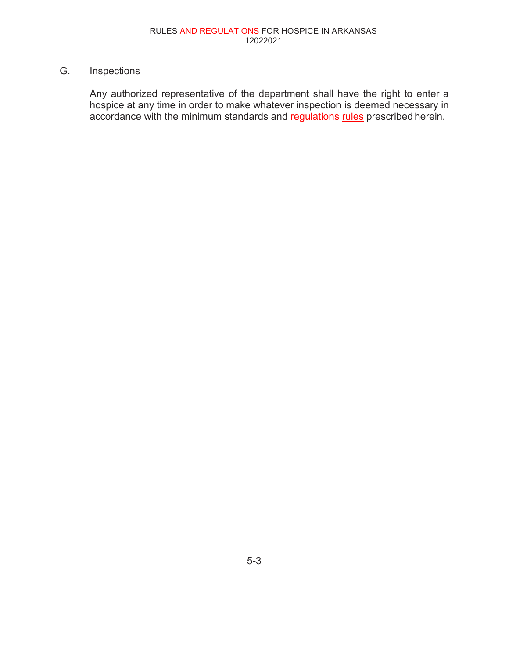# G. Inspections

Any authorized representative of the department shall have the right to enter a hospice at any time in order to make whatever inspection is deemed necessary in accordance with the minimum standards and regulations rules prescribed herein.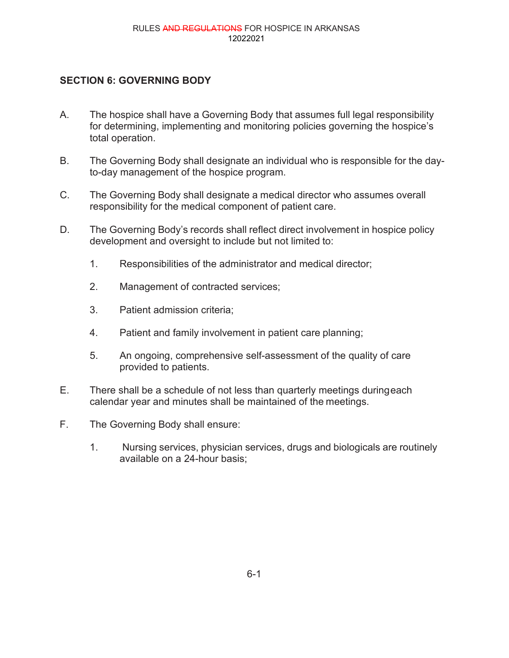# **SECTION 6: GOVERNING BODY**

- A. The hospice shall have a Governing Body that assumes full legal responsibility for determining, implementing and monitoring policies governing the hospice's total operation.
- B. The Governing Body shall designate an individual who is responsible for the dayto-day management of the hospice program.
- C. The Governing Body shall designate a medical director who assumes overall responsibility for the medical component of patient care.
- D. The Governing Body's records shall reflect direct involvement in hospice policy development and oversight to include but not limited to:
	- 1. Responsibilities of the administrator and medical director;
	- 2. Management of contracted services;
	- 3. Patient admission criteria;
	- 4. Patient and family involvement in patient care planning;
	- 5. An ongoing, comprehensive self-assessment of the quality of care provided to patients.
- E. There shall be a schedule of not less than quarterly meetings duringeach calendar year and minutes shall be maintained of the meetings.
- F. The Governing Body shall ensure:
	- 1. Nursing services, physician services, drugs and biologicals are routinely available on a 24-hour basis;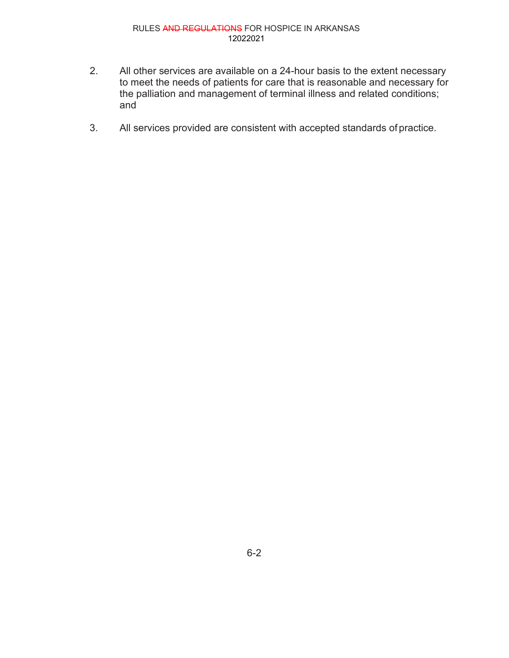- 2. All other services are available on a 24-hour basis to the extent necessary to meet the needs of patients for care that is reasonable and necessary for the palliation and management of terminal illness and related conditions; and
- 3. All services provided are consistent with accepted standards of practice.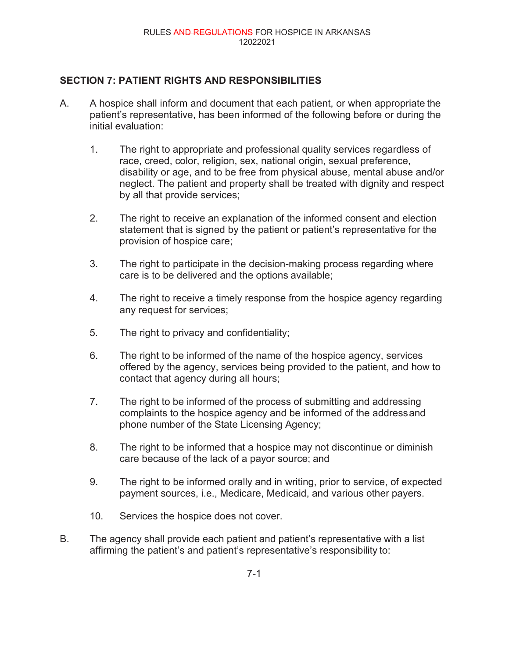### **SECTION 7: PATIENT RIGHTS AND RESPONSIBILITIES**

- A. A hospice shall inform and document that each patient, or when appropriate the patient's representative, has been informed of the following before or during the initial evaluation:
	- 1. The right to appropriate and professional quality services regardless of race, creed, color, religion, sex, national origin, sexual preference, disability or age, and to be free from physical abuse, mental abuse and/or neglect. The patient and property shall be treated with dignity and respect by all that provide services;
	- 2. The right to receive an explanation of the informed consent and election statement that is signed by the patient or patient's representative for the provision of hospice care;
	- 3. The right to participate in the decision-making process regarding where care is to be delivered and the options available;
	- 4. The right to receive a timely response from the hospice agency regarding any request for services;
	- 5. The right to privacy and confidentiality;
	- 6. The right to be informed of the name of the hospice agency, services offered by the agency, services being provided to the patient, and how to contact that agency during all hours;
	- 7. The right to be informed of the process of submitting and addressing complaints to the hospice agency and be informed of the addressand phone number of the State Licensing Agency;
	- 8. The right to be informed that a hospice may not discontinue or diminish care because of the lack of a payor source; and
	- 9. The right to be informed orally and in writing, prior to service, of expected payment sources, i.e., Medicare, Medicaid, and various other payers.
	- 10. Services the hospice does not cover.
- B. The agency shall provide each patient and patient's representative with a list affirming the patient's and patient's representative's responsibility to: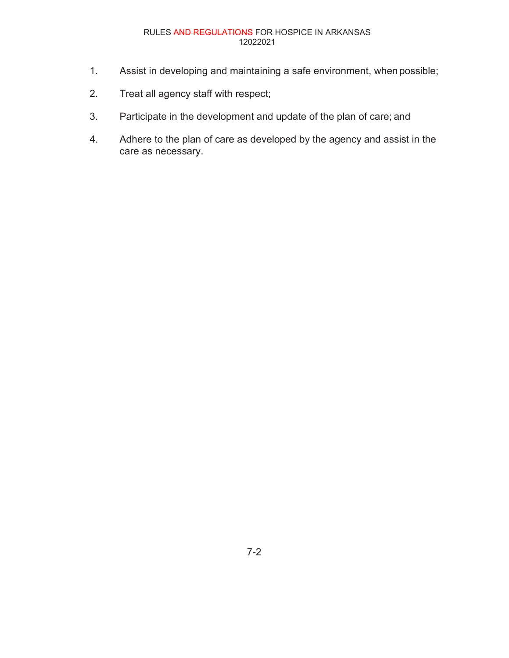- 1. Assist in developing and maintaining a safe environment, when possible;
- 2. Treat all agency staff with respect;
- 3. Participate in the development and update of the plan of care; and
- 4. Adhere to the plan of care as developed by the agency and assist in the care as necessary.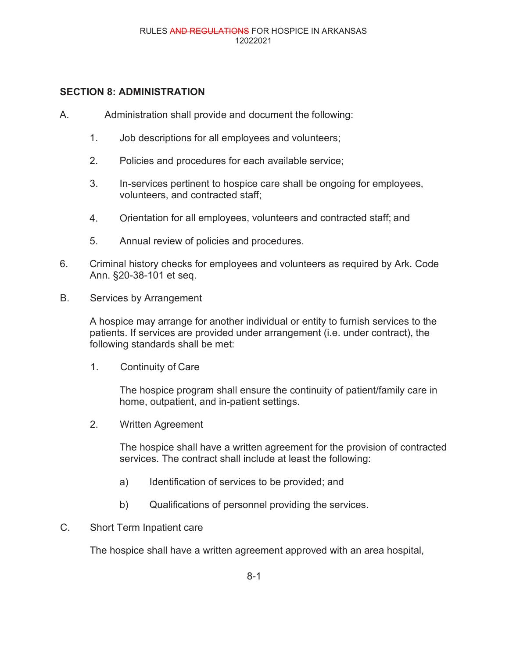#### **SECTION 8: ADMINISTRATION**

- A. Administration shall provide and document the following:
	- 1. Job descriptions for all employees and volunteers;
	- 2. Policies and procedures for each available service;
	- 3. In-services pertinent to hospice care shall be ongoing for employees, volunteers, and contracted staff;
	- 4. Orientation for all employees, volunteers and contracted staff; and
	- 5. Annual review of policies and procedures.
- 6. Criminal history checks for employees and volunteers as required by Ark. Code Ann. §20-38-101 et seq.
- B. Services by Arrangement

A hospice may arrange for another individual or entity to furnish services to the patients. If services are provided under arrangement (i.e. under contract), the following standards shall be met:

1. Continuity of Care

The hospice program shall ensure the continuity of patient/family care in home, outpatient, and in-patient settings.

2. Written Agreement

The hospice shall have a written agreement for the provision of contracted services. The contract shall include at least the following:

- a) Identification of services to be provided; and
- b) Qualifications of personnel providing the services.
- C. Short Term Inpatient care

The hospice shall have a written agreement approved with an area hospital,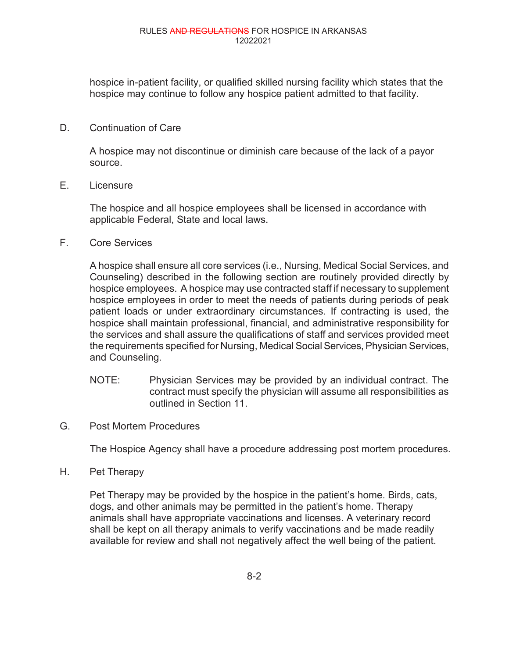hospice in-patient facility, or qualified skilled nursing facility which states that the hospice may continue to follow any hospice patient admitted to that facility.

#### D. Continuation of Care

A hospice may not discontinue or diminish care because of the lack of a payor source.

E. Licensure

The hospice and all hospice employees shall be licensed in accordance with applicable Federal, State and local laws.

F. Core Services

A hospice shall ensure all core services (i.e., Nursing, Medical Social Services, and Counseling) described in the following section are routinely provided directly by hospice employees. A hospice may use contracted staff if necessary to supplement hospice employees in order to meet the needs of patients during periods of peak patient loads or under extraordinary circumstances. If contracting is used, the hospice shall maintain professional, financial, and administrative responsibility for the services and shall assure the qualifications of staff and services provided meet the requirements specified for Nursing, Medical Social Services, Physician Services, and Counseling.

- NOTE: Physician Services may be provided by an individual contract. The contract must specify the physician will assume all responsibilities as outlined in Section 11.
- G. Post Mortem Procedures

The Hospice Agency shall have a procedure addressing post mortem procedures.

H. Pet Therapy

Pet Therapy may be provided by the hospice in the patient's home. Birds, cats, dogs, and other animals may be permitted in the patient's home. Therapy animals shall have appropriate vaccinations and licenses. A veterinary record shall be kept on all therapy animals to verify vaccinations and be made readily available for review and shall not negatively affect the well being of the patient.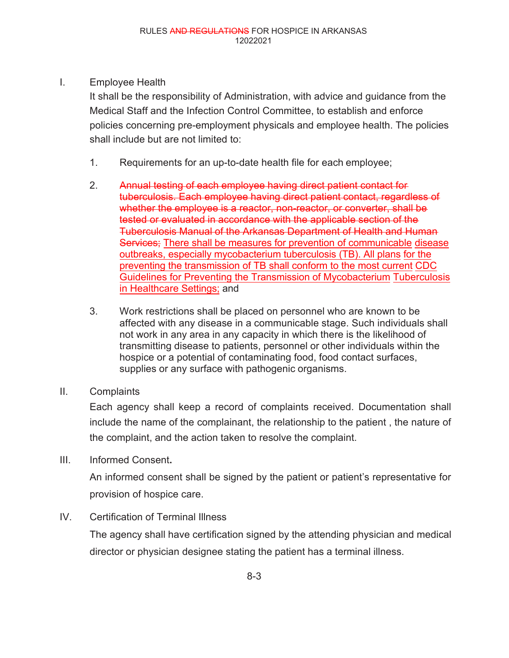I. Employee Health

It shall be the responsibility of Administration, with advice and guidance from the Medical Staff and the Infection Control Committee, to establish and enforce policies concerning pre-employment physicals and employee health. The policies shall include but are not limited to:

- 1. Requirements for an up-to-date health file for each employee;
- 2. Annual testing of each employee having direct patient contact for tuberculosis. Each employee having direct patient contact, regardless of whether the employee is a reactor, non-reactor, or converter, shall be tested or evaluated in accordance with the applicable section of the Tuberculosis Manual of the Arkansas Department of Health and Human Services; There shall be measures for prevention of communicable disease outbreaks, especially mycobacterium tuberculosis (TB). All plans for the preventing the transmission of TB shall conform to the most current CDC Guidelines for Preventing the Transmission of Mycobacterium Tuberculosis in Healthcare Settings; and
- 3. Work restrictions shall be placed on personnel who are known to be affected with any disease in a communicable stage. Such individuals shall not work in any area in any capacity in which there is the likelihood of transmitting disease to patients, personnel or other individuals within the hospice or a potential of contaminating food, food contact surfaces, supplies or any surface with pathogenic organisms.
- II. Complaints

Each agency shall keep a record of complaints received. Documentation shall include the name of the complainant, the relationship to the patient , the nature of the complaint, and the action taken to resolve the complaint.

III. Informed Consent**.**

An informed consent shall be signed by the patient or patient's representative for provision of hospice care.

IV. Certification of Terminal Illness

The agency shall have certification signed by the attending physician and medical director or physician designee stating the patient has a terminal illness.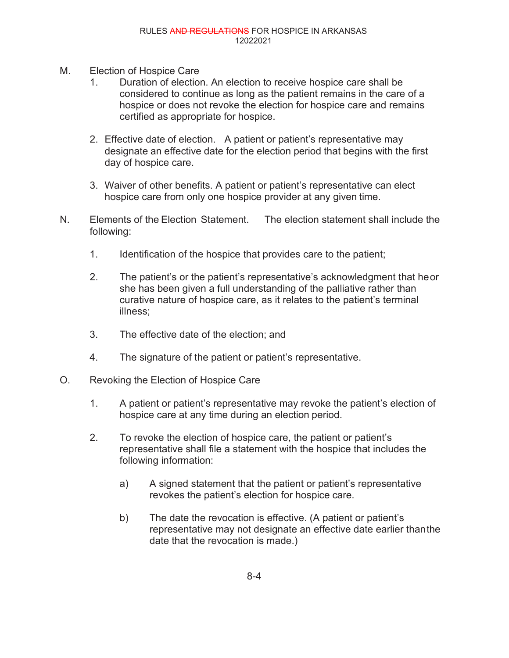- M. Election of Hospice Care
	- 1. Duration of election. An election to receive hospice care shall be considered to continue as long as the patient remains in the care of a hospice or does not revoke the election for hospice care and remains certified as appropriate for hospice.
	- 2. Effective date of election. A patient or patient's representative may designate an effective date for the election period that begins with the first day of hospice care.
	- 3. Waiver of other benefits. A patient or patient's representative can elect hospice care from only one hospice provider at any given time.
- N. Elements of the Election Statement. The election statement shall include the following:
	- 1. Identification of the hospice that provides care to the patient;
	- 2. The patient's or the patient's representative's acknowledgment that heor she has been given a full understanding of the palliative rather than curative nature of hospice care, as it relates to the patient's terminal illness;
	- 3. The effective date of the election; and
	- 4. The signature of the patient or patient's representative.
- O. Revoking the Election of Hospice Care
	- 1. A patient or patient's representative may revoke the patient's election of hospice care at any time during an election period.
	- 2. To revoke the election of hospice care, the patient or patient's representative shall file a statement with the hospice that includes the following information:
		- a) A signed statement that the patient or patient's representative revokes the patient's election for hospice care.
		- b) The date the revocation is effective. (A patient or patient's representative may not designate an effective date earlier thanthe date that the revocation is made.)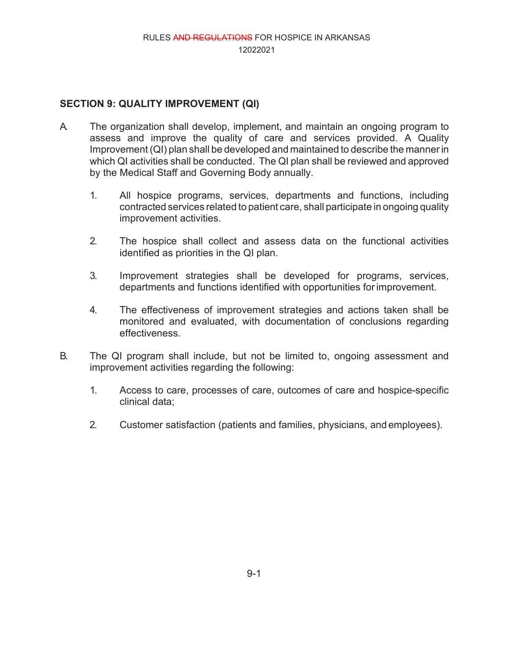### **SECTION 9: QUALITY IMPROVEMENT (QI)**

- A. The organization shall develop, implement, and maintain an ongoing program to assess and improve the quality of care and services provided. A Quality Improvement (QI) plan shall be developed and maintained to describe the manner in which QI activities shall be conducted. The QI plan shall be reviewed and approved by the Medical Staff and Governing Body annually.
	- 1. All hospice programs, services, departments and functions, including contracted services related to patient care, shall participate in ongoing quality improvement activities.
	- 2. The hospice shall collect and assess data on the functional activities identified as priorities in the QI plan.
	- 3. Improvement strategies shall be developed for programs, services, departments and functions identified with opportunities forimprovement.
	- 4. The effectiveness of improvement strategies and actions taken shall be monitored and evaluated, with documentation of conclusions regarding effectiveness.
- B. The QI program shall include, but not be limited to, ongoing assessment and improvement activities regarding the following:
	- 1. Access to care, processes of care, outcomes of care and hospice-specific clinical data;
	- 2. Customer satisfaction (patients and families, physicians, and employees).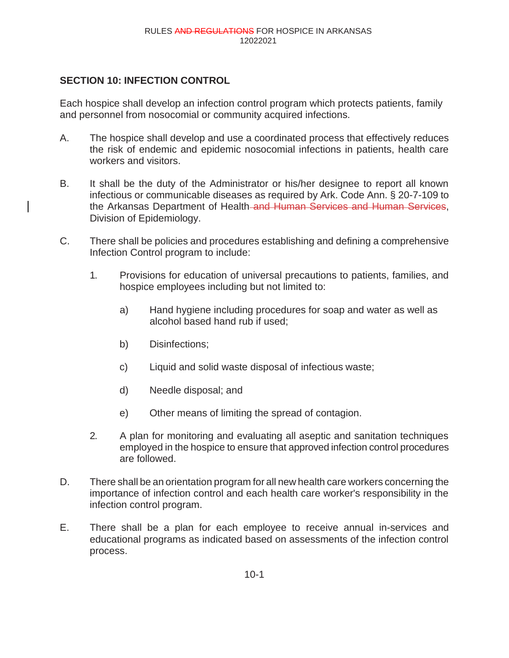#### **SECTION 10: INFECTION CONTROL**

Each hospice shall develop an infection control program which protects patients, family and personnel from nosocomial or community acquired infections.

- A. The hospice shall develop and use a coordinated process that effectively reduces the risk of endemic and epidemic nosocomial infections in patients, health care workers and visitors.
- B. It shall be the duty of the Administrator or his/her designee to report all known infectious or communicable diseases as required by Ark. Code Ann. § 20-7-109 to the Arkansas Department of Health-and Human Services and Human Services, Division of Epidemiology.
- C. There shall be policies and procedures establishing and defining a comprehensive Infection Control program to include:
	- 1. Provisions for education of universal precautions to patients, families, and hospice employees including but not limited to:
		- a) Hand hygiene including procedures for soap and water as well as alcohol based hand rub if used;
		- b) Disinfections;
		- c) Liquid and solid waste disposal of infectious waste;
		- d) Needle disposal; and
		- e) Other means of limiting the spread of contagion.
	- 2. A plan for monitoring and evaluating all aseptic and sanitation techniques employed in the hospice to ensure that approved infection control procedures are followed.
- D. There shall be an orientation program for all new health care workers concerning the importance of infection control and each health care worker's responsibility in the infection control program.
- E. There shall be a plan for each employee to receive annual in-services and educational programs as indicated based on assessments of the infection control process.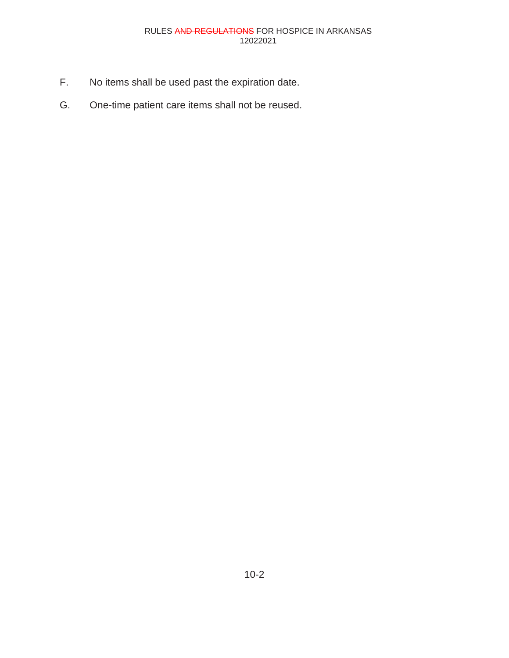- F. No items shall be used past the expiration date.
- G. One-time patient care items shall not be reused.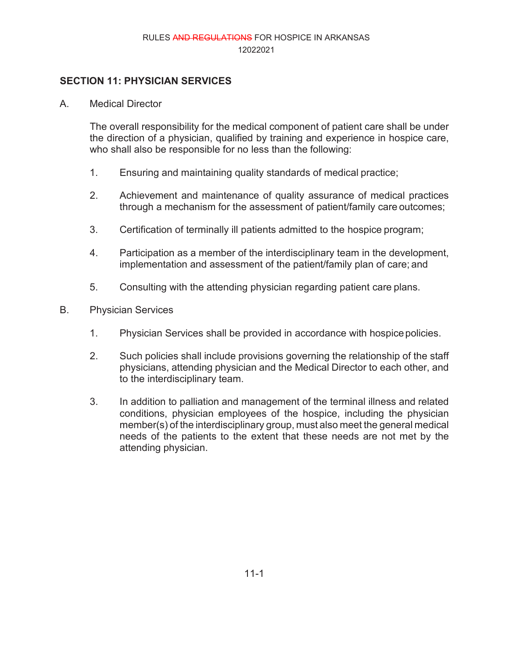#### **SECTION 11: PHYSICIAN SERVICES**

A. Medical Director

The overall responsibility for the medical component of patient care shall be under the direction of a physician, qualified by training and experience in hospice care, who shall also be responsible for no less than the following:

- 1. Ensuring and maintaining quality standards of medical practice;
- 2. Achievement and maintenance of quality assurance of medical practices through a mechanism for the assessment of patient/family care outcomes;
- 3. Certification of terminally ill patients admitted to the hospice program;
- 4. Participation as a member of the interdisciplinary team in the development, implementation and assessment of the patient/family plan of care; and
- 5. Consulting with the attending physician regarding patient care plans.
- B. Physician Services
	- 1. Physician Services shall be provided in accordance with hospicepolicies.
	- 2. Such policies shall include provisions governing the relationship of the staff physicians, attending physician and the Medical Director to each other, and to the interdisciplinary team.
	- 3. In addition to palliation and management of the terminal illness and related conditions, physician employees of the hospice, including the physician member(s) of the interdisciplinary group, must also meet the general medical needs of the patients to the extent that these needs are not met by the attending physician.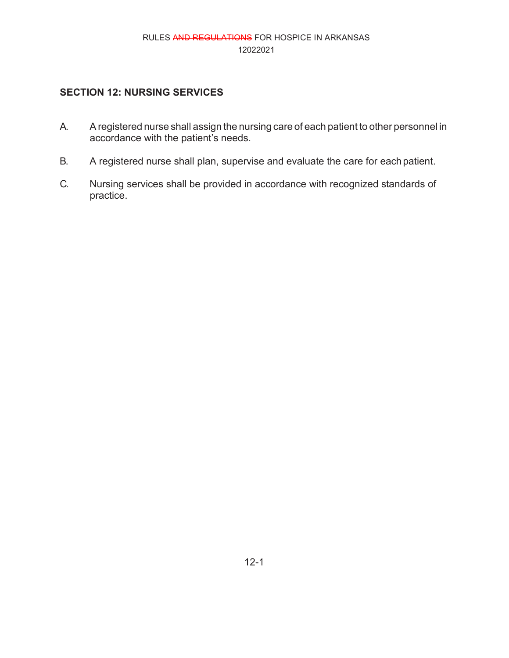# **SECTION 12: NURSING SERVICES**

- A. A registered nurse shall assign the nursing care of each patient to other personnel in accordance with the patient's needs.
- B. A registered nurse shall plan, supervise and evaluate the care for eachpatient.
- C. Nursing services shall be provided in accordance with recognized standards of practice.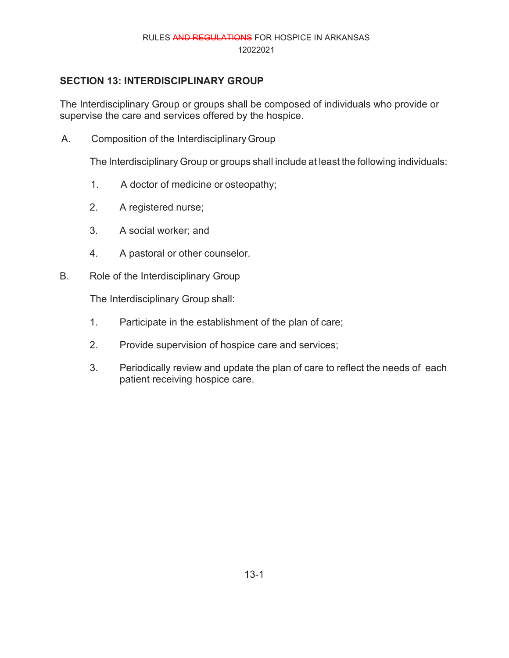# **SECTION 13: INTERDISCIPLINARY GROUP**

The Interdisciplinary Group or groups shall be composed of individuals who provide or supervise the care and services offered by the hospice.

A. Composition of the InterdisciplinaryGroup

The Interdisciplinary Group or groups shall include at least the following individuals:

- 1. A doctor of medicine or osteopathy;
- 2. A registered nurse;
- 3. A social worker; and
- 4. A pastoral or other counselor.
- B. Role of the Interdisciplinary Group

The Interdisciplinary Group shall:

- 1. Participate in the establishment of the plan of care;
- 2. Provide supervision of hospice care and services;
- 3. Periodically review and update the plan of care to reflect the needs of each patient receiving hospice care.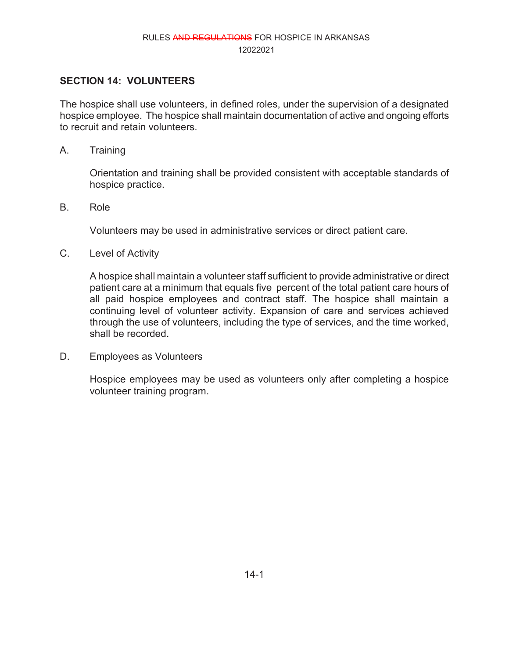## **SECTION 14: VOLUNTEERS**

The hospice shall use volunteers, in defined roles, under the supervision of a designated hospice employee. The hospice shall maintain documentation of active and ongoing efforts to recruit and retain volunteers.

A. Training

Orientation and training shall be provided consistent with acceptable standards of hospice practice.

B. Role

Volunteers may be used in administrative services or direct patient care.

C. Level of Activity

A hospice shall maintain a volunteer staff sufficient to provide administrative or direct patient care at a minimum that equals five percent of the total patient care hours of all paid hospice employees and contract staff. The hospice shall maintain a continuing level of volunteer activity. Expansion of care and services achieved through the use of volunteers, including the type of services, and the time worked, shall be recorded.

D. Employees as Volunteers

Hospice employees may be used as volunteers only after completing a hospice volunteer training program.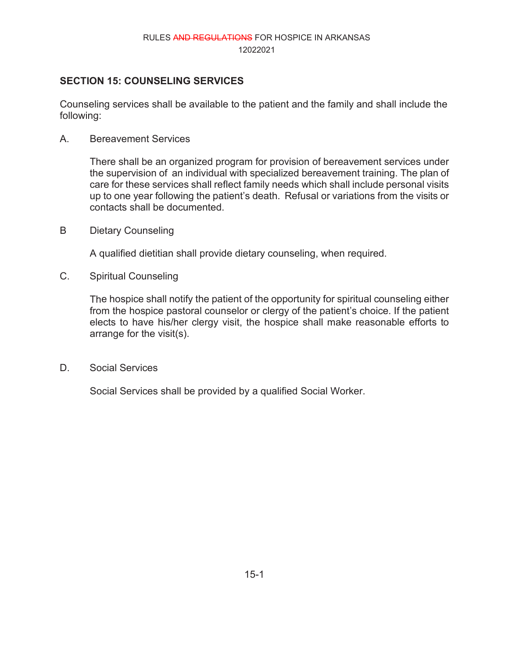# **SECTION 15: COUNSELING SERVICES**

Counseling services shall be available to the patient and the family and shall include the following:

A. Bereavement Services

There shall be an organized program for provision of bereavement services under the supervision of an individual with specialized bereavement training. The plan of care for these services shall reflect family needs which shall include personal visits up to one year following the patient's death. Refusal or variations from the visits or contacts shall be documented.

B Dietary Counseling

A qualified dietitian shall provide dietary counseling, when required.

C. Spiritual Counseling

The hospice shall notify the patient of the opportunity for spiritual counseling either from the hospice pastoral counselor or clergy of the patient's choice. If the patient elects to have his/her clergy visit, the hospice shall make reasonable efforts to arrange for the visit(s).

D. Social Services

Social Services shall be provided by a qualified Social Worker.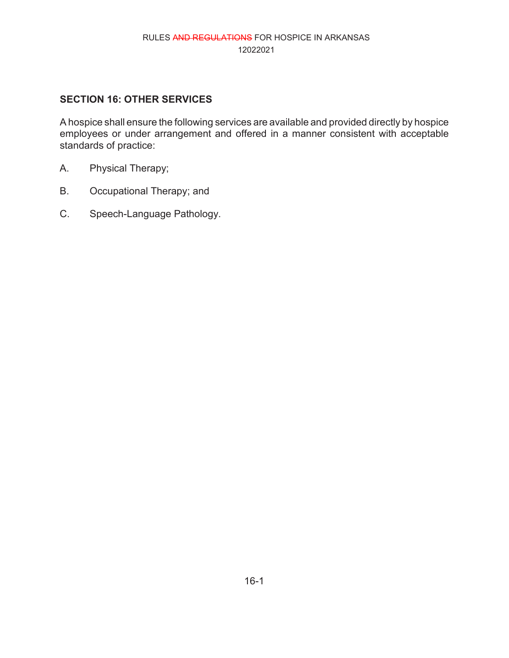# **SECTION 16: OTHER SERVICES**

A hospice shall ensure the following services are available and provided directly by hospice employees or under arrangement and offered in a manner consistent with acceptable standards of practice:

- A. Physical Therapy;
- B. Occupational Therapy; and
- C. Speech-Language Pathology.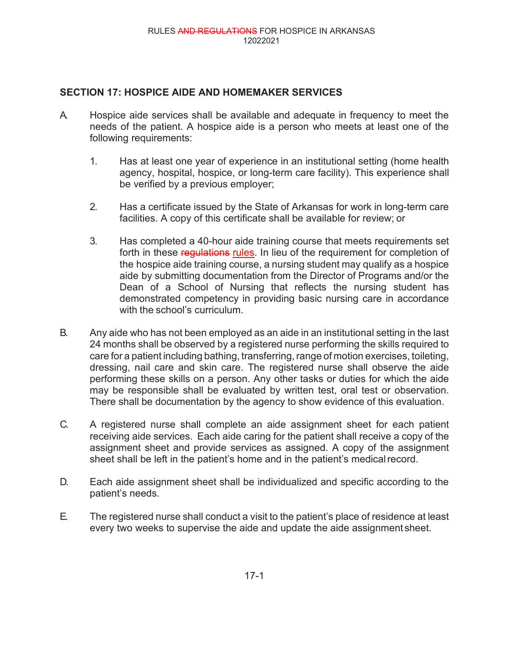# **SECTION 17: HOSPICE AIDE AND HOMEMAKER SERVICES**

- A. Hospice aide services shall be available and adequate in frequency to meet the needs of the patient. A hospice aide is a person who meets at least one of the following requirements:
	- 1. Has at least one year of experience in an institutional setting (home health agency, hospital, hospice, or long-term care facility). This experience shall be verified by a previous employer;
	- 2. Has a certificate issued by the State of Arkansas for work in long-term care facilities. A copy of this certificate shall be available for review; or
	- 3. Has completed a 40-hour aide training course that meets requirements set forth in these requistions rules. In lieu of the requirement for completion of the hospice aide training course, a nursing student may qualify as a hospice aide by submitting documentation from the Director of Programs and/or the Dean of a School of Nursing that reflects the nursing student has demonstrated competency in providing basic nursing care in accordance with the school's curriculum.
- B. Any aide who has not been employed as an aide in an institutional setting in the last 24 months shall be observed by a registered nurse performing the skills required to care for a patient including bathing, transferring, range of motion exercises, toileting, dressing, nail care and skin care. The registered nurse shall observe the aide performing these skills on a person. Any other tasks or duties for which the aide may be responsible shall be evaluated by written test, oral test or observation. There shall be documentation by the agency to show evidence of this evaluation.
- C. A registered nurse shall complete an aide assignment sheet for each patient receiving aide services. Each aide caring for the patient shall receive a copy of the assignment sheet and provide services as assigned. A copy of the assignment sheet shall be left in the patient's home and in the patient's medical record.
- D. Each aide assignment sheet shall be individualized and specific according to the patient's needs.
- E. The registered nurse shall conduct a visit to the patient's place of residence at least every two weeks to supervise the aide and update the aide assignment sheet.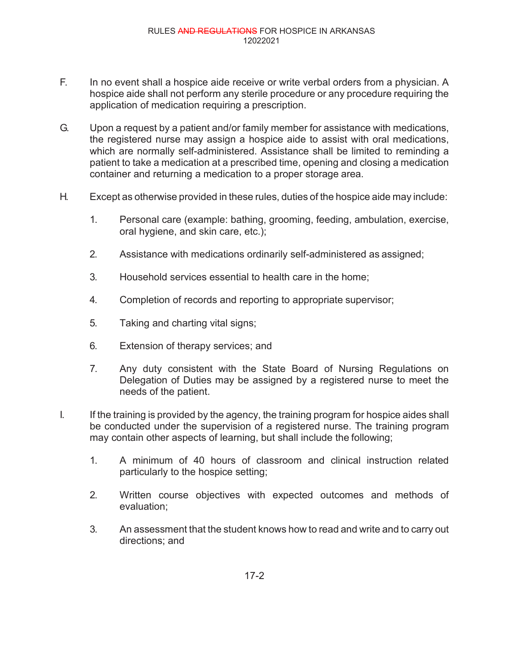- F. In no event shall a hospice aide receive or write verbal orders from a physician. A hospice aide shall not perform any sterile procedure or any procedure requiring the application of medication requiring a prescription.
- G. Upon a request by a patient and/or family member for assistance with medications, the registered nurse may assign a hospice aide to assist with oral medications, which are normally self-administered. Assistance shall be limited to reminding a patient to take a medication at a prescribed time, opening and closing a medication container and returning a medication to a proper storage area.
- H. Except as otherwise provided in these rules, duties of the hospice aide may include:
	- 1. Personal care (example: bathing, grooming, feeding, ambulation, exercise, oral hygiene, and skin care, etc.);
	- 2. Assistance with medications ordinarily self-administered as assigned;
	- 3. Household services essential to health care in the home;
	- 4. Completion of records and reporting to appropriate supervisor;
	- 5. Taking and charting vital signs;
	- 6. Extension of therapy services; and
	- 7. Any duty consistent with the State Board of Nursing Regulations on Delegation of Duties may be assigned by a registered nurse to meet the needs of the patient.
- I. If the training is provided by the agency, the training program for hospice aides shall be conducted under the supervision of a registered nurse. The training program may contain other aspects of learning, but shall include the following;
	- 1. A minimum of 40 hours of classroom and clinical instruction related particularly to the hospice setting;
	- 2. Written course objectives with expected outcomes and methods of evaluation;
	- 3. An assessment that the student knows how to read and write and to carry out directions; and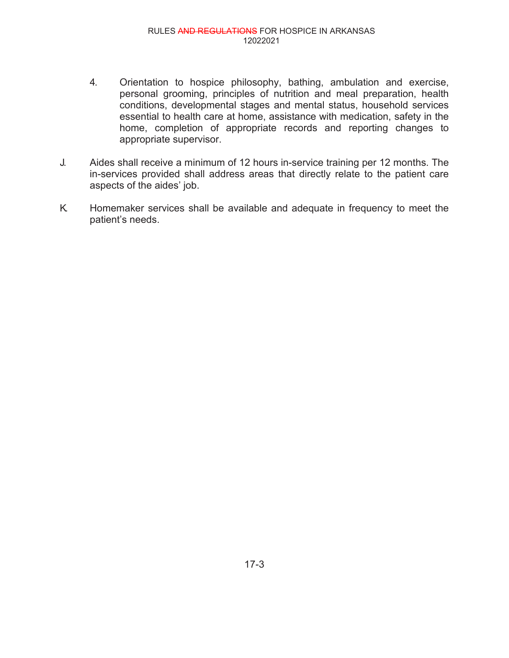- 4. Orientation to hospice philosophy, bathing, ambulation and exercise, personal grooming, principles of nutrition and meal preparation, health conditions, developmental stages and mental status, household services essential to health care at home, assistance with medication, safety in the home, completion of appropriate records and reporting changes to appropriate supervisor.
- J. Aides shall receive a minimum of 12 hours in-service training per 12 months. The in-services provided shall address areas that directly relate to the patient care aspects of the aides' job.
- K. Homemaker services shall be available and adequate in frequency to meet the patient's needs.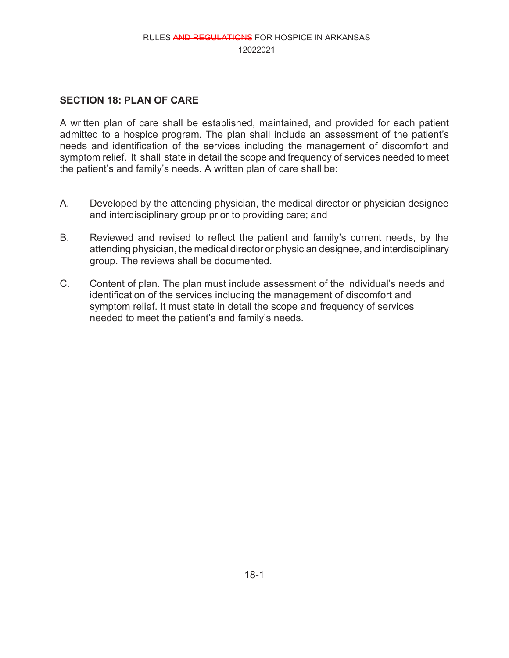### **SECTION 18: PLAN OF CARE**

A written plan of care shall be established, maintained, and provided for each patient admitted to a hospice program. The plan shall include an assessment of the patient's needs and identification of the services including the management of discomfort and symptom relief. It shall state in detail the scope and frequency of services needed to meet the patient's and family's needs. A written plan of care shall be:

- A. Developed by the attending physician, the medical director or physician designee and interdisciplinary group prior to providing care; and
- B. Reviewed and revised to reflect the patient and family's current needs, by the attending physician, the medical director or physician designee, and interdisciplinary group. The reviews shall be documented.
- C. Content of plan. The plan must include assessment of the individual's needs and identification of the services including the management of discomfort and symptom relief. It must state in detail the scope and frequency of services needed to meet the patient's and family's needs.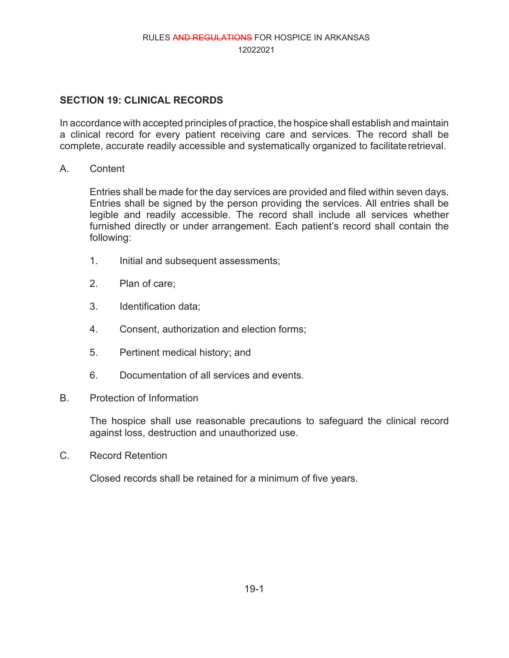# **SECTION 19: CLINICAL RECORDS**

In accordance with accepted principles of practice, the hospice shall establish and maintain a clinical record for every patient receiving care and services. The record shall be complete, accurate readily accessible and systematically organized to facilitateretrieval.

A. Content

Entries shall be made for the day services are provided and filed within seven days. Entries shall be signed by the person providing the services. All entries shall be legible and readily accessible. The record shall include all services whether furnished directly or under arrangement. Each patient's record shall contain the following:

- 1. Initial and subsequent assessments;
- 2. Plan of care;
- 3. Identification data;
- 4. Consent, authorization and election forms;
- 5. Pertinent medical history; and
- 6. Documentation of all services and events.
- B. Protection of Information

The hospice shall use reasonable precautions to safeguard the clinical record against loss, destruction and unauthorized use.

C. Record Retention

Closed records shall be retained for a minimum of five years.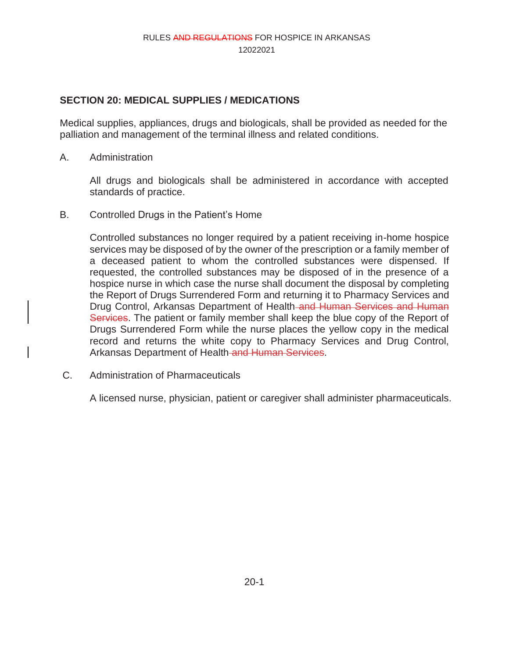## **SECTION 20: MEDICAL SUPPLIES / MEDICATIONS**

Medical supplies, appliances, drugs and biologicals, shall be provided as needed for the palliation and management of the terminal illness and related conditions.

A. Administration

All drugs and biologicals shall be administered in accordance with accepted standards of practice.

B. Controlled Drugs in the Patient's Home

Controlled substances no longer required by a patient receiving in-home hospice services may be disposed of by the owner of the prescription or a family member of a deceased patient to whom the controlled substances were dispensed. If requested, the controlled substances may be disposed of in the presence of a hospice nurse in which case the nurse shall document the disposal by completing the Report of Drugs Surrendered Form and returning it to Pharmacy Services and Drug Control, Arkansas Department of Health-and Human Services and Human Services. The patient or family member shall keep the blue copy of the Report of Drugs Surrendered Form while the nurse places the yellow copy in the medical record and returns the white copy to Pharmacy Services and Drug Control, Arkansas Department of Health-and Human Services.

C. Administration of Pharmaceuticals

A licensed nurse, physician, patient or caregiver shall administer pharmaceuticals.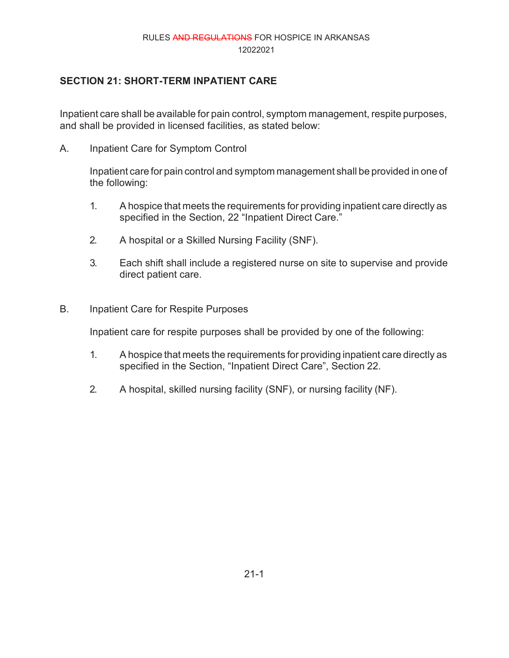# **SECTION 21: SHORT-TERM INPATIENT CARE**

Inpatient care shall be available for pain control, symptom management, respite purposes, and shall be provided in licensed facilities, as stated below:

A. Inpatient Care for Symptom Control

Inpatient care for pain control and symptom management shall be provided in one of the following:

- 1. A hospice that meets the requirements for providing inpatient care directly as specified in the Section, 22 "Inpatient Direct Care."
- 2. A hospital or a Skilled Nursing Facility (SNF).
- 3. Each shift shall include a registered nurse on site to supervise and provide direct patient care.
- B. Inpatient Care for Respite Purposes

Inpatient care for respite purposes shall be provided by one of the following:

- 1. A hospice that meets the requirements for providing inpatient care directly as specified in the Section, "Inpatient Direct Care", Section 22.
- 2. A hospital, skilled nursing facility (SNF), or nursing facility (NF).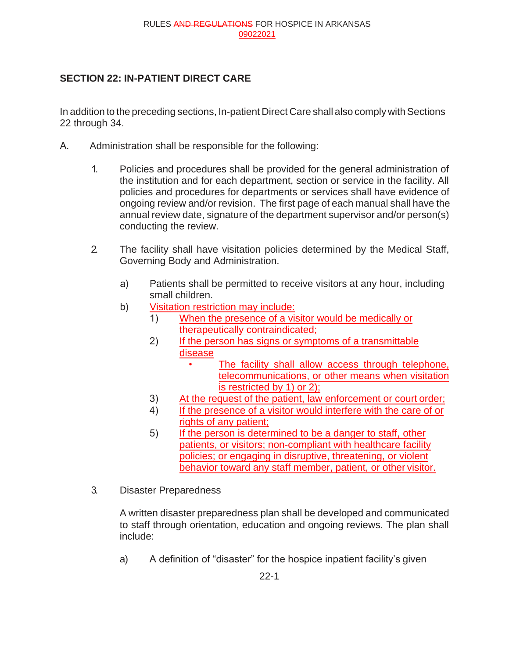# **SECTION 22: IN-PATIENT DIRECT CARE**

In addition to the preceding sections, In-patient Direct Care shall also comply with Sections 22 through 34.

- A. Administration shall be responsible for the following:
	- 1. Policies and procedures shall be provided for the general administration of the institution and for each department, section or service in the facility. All policies and procedures for departments or services shall have evidence of ongoing review and/or revision. The first page of each manual shall have the annual review date, signature of the department supervisor and/or person(s) conducting the review.
	- 2. The facility shall have visitation policies determined by the Medical Staff, Governing Body and Administration.
		- a) Patients shall be permitted to receive visitors at any hour, including small children.
		- b) Visitation restriction may include:
			- 1) When the presence of a visitor would be medically or therapeutically contraindicated;
			- 2) If the person has signs or symptoms of a transmittable disease
				- The facility shall allow access through telephone, telecommunications, or other means when visitation is restricted by 1) or 2);
			- 3) At the request of the patient, law enforcement or court order;
			- 4) If the presence of a visitor would interfere with the care of or rights of any patient;
			- 5) If the person is determined to be a danger to staff, other patients, or visitors; non-compliant with healthcare facility policies; or engaging in disruptive, threatening, or violent behavior toward any staff member, patient, or other visitor.
	- 3. Disaster Preparedness

A written disaster preparedness plan shall be developed and communicated to staff through orientation, education and ongoing reviews. The plan shall include:

a) A definition of "disaster" for the hospice inpatient facility's given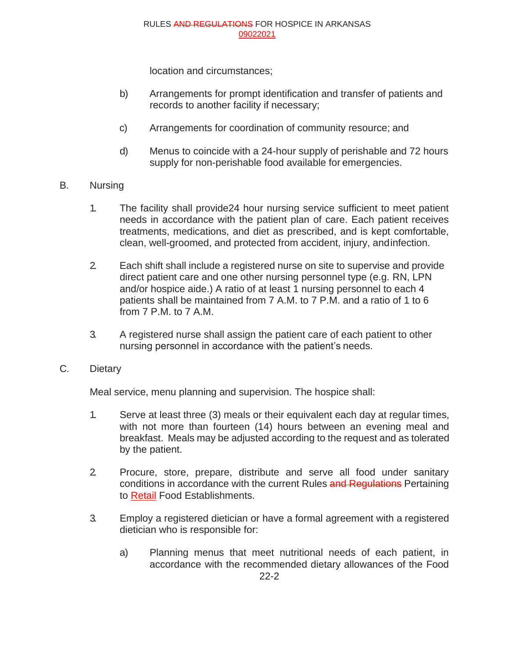location and circumstances;

- b) Arrangements for prompt identification and transfer of patients and records to another facility if necessary;
- c) Arrangements for coordination of community resource; and
- d) Menus to coincide with a 24-hour supply of perishable and 72 hours supply for non-perishable food available for emergencies.
- B. Nursing
	- 1. The facility shall provide24 hour nursing service sufficient to meet patient needs in accordance with the patient plan of care. Each patient receives treatments, medications, and diet as prescribed, and is kept comfortable, clean, well-groomed, and protected from accident, injury, andinfection.
	- 2. Each shift shall include a registered nurse on site to supervise and provide direct patient care and one other nursing personnel type (e.g. RN, LPN and/or hospice aide.) A ratio of at least 1 nursing personnel to each 4 patients shall be maintained from 7 A.M. to 7 P.M. and a ratio of 1 to 6 from 7 P.M. to 7 A.M.
	- 3. A registered nurse shall assign the patient care of each patient to other nursing personnel in accordance with the patient's needs.
- C. Dietary

Meal service, menu planning and supervision. The hospice shall:

- 1. Serve at least three (3) meals or their equivalent each day at regular times, with not more than fourteen (14) hours between an evening meal and breakfast. Meals may be adjusted according to the request and as tolerated by the patient.
- 2. Procure, store, prepare, distribute and serve all food under sanitary conditions in accordance with the current Rules and Regulations Pertaining to Retail Food Establishments.
- 3. Employ a registered dietician or have a formal agreement with a registered dietician who is responsible for:
	- 22-2 a) Planning menus that meet nutritional needs of each patient, in accordance with the recommended dietary allowances of the Food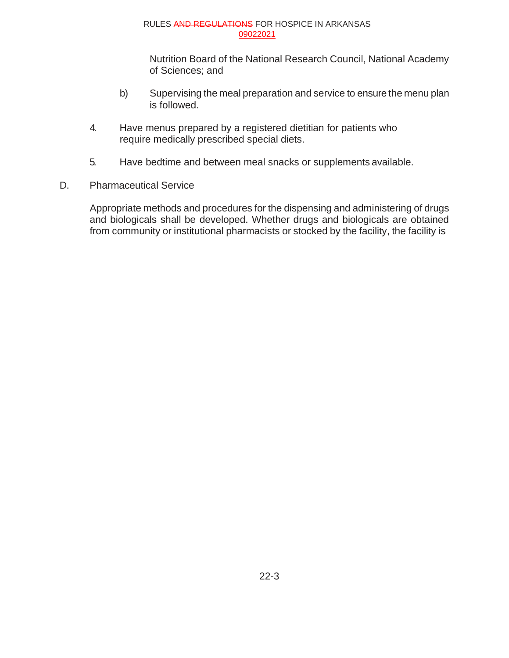Nutrition Board of the National Research Council, National Academy of Sciences; and

- b) Supervising the meal preparation and service to ensure the menu plan is followed.
- 4. Have menus prepared by a registered dietitian for patients who require medically prescribed special diets.
- 5. Have bedtime and between meal snacks or supplements available.
- D. Pharmaceutical Service

Appropriate methods and procedures for the dispensing and administering of drugs and biologicals shall be developed. Whether drugs and biologicals are obtained from community or institutional pharmacists or stocked by the facility, the facility is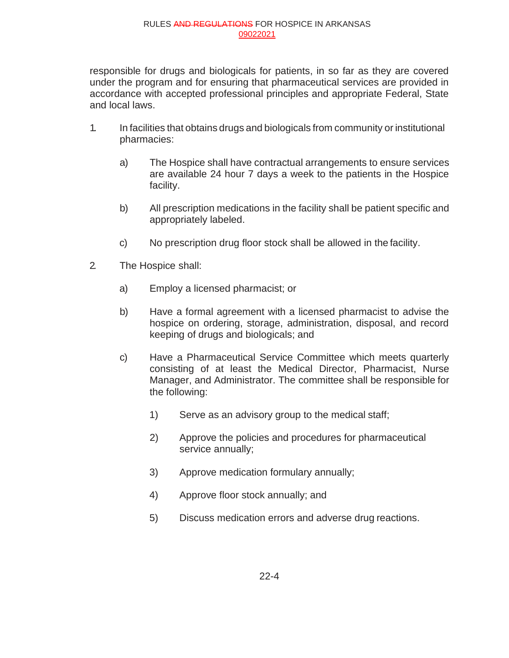responsible for drugs and biologicals for patients, in so far as they are covered under the program and for ensuring that pharmaceutical services are provided in accordance with accepted professional principles and appropriate Federal, State and local laws.

- 1. In facilities that obtains drugs and biologicals from community or institutional pharmacies:
	- a) The Hospice shall have contractual arrangements to ensure services are available 24 hour 7 days a week to the patients in the Hospice facility.
	- b) All prescription medications in the facility shall be patient specific and appropriately labeled.
	- c) No prescription drug floor stock shall be allowed in the facility.
- 2. The Hospice shall:
	- a) Employ a licensed pharmacist; or
	- b) Have a formal agreement with a licensed pharmacist to advise the hospice on ordering, storage, administration, disposal, and record keeping of drugs and biologicals; and
	- c) Have a Pharmaceutical Service Committee which meets quarterly consisting of at least the Medical Director, Pharmacist, Nurse Manager, and Administrator. The committee shall be responsible for the following:
		- 1) Serve as an advisory group to the medical staff;
		- 2) Approve the policies and procedures for pharmaceutical service annually;
		- 3) Approve medication formulary annually;
		- 4) Approve floor stock annually; and
		- 5) Discuss medication errors and adverse drug reactions.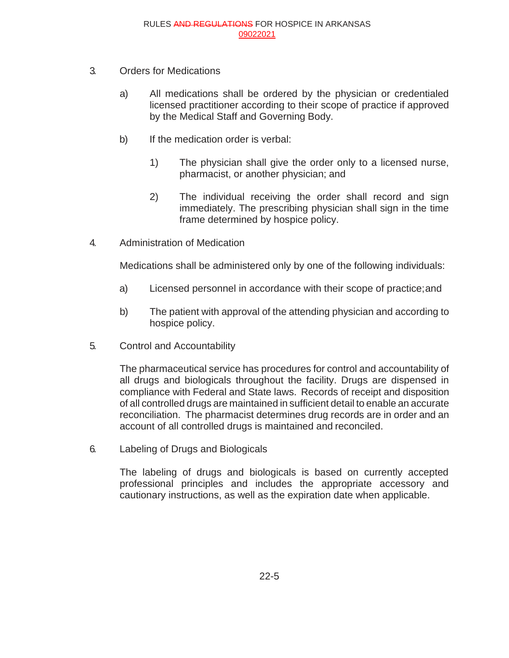- 3. Orders for Medications
	- a) All medications shall be ordered by the physician or credentialed licensed practitioner according to their scope of practice if approved by the Medical Staff and Governing Body.
	- b) If the medication order is verbal:
		- 1) The physician shall give the order only to a licensed nurse, pharmacist, or another physician; and
		- 2) The individual receiving the order shall record and sign immediately. The prescribing physician shall sign in the time frame determined by hospice policy.
- 4. Administration of Medication

Medications shall be administered only by one of the following individuals:

- a) Licensed personnel in accordance with their scope of practice;and
- b) The patient with approval of the attending physician and according to hospice policy.
- 5. Control and Accountability

The pharmaceutical service has procedures for control and accountability of all drugs and biologicals throughout the facility. Drugs are dispensed in compliance with Federal and State laws. Records of receipt and disposition of all controlled drugs are maintained in sufficient detail to enable an accurate reconciliation. The pharmacist determines drug records are in order and an account of all controlled drugs is maintained and reconciled.

6. Labeling of Drugs and Biologicals

The labeling of drugs and biologicals is based on currently accepted professional principles and includes the appropriate accessory and cautionary instructions, as well as the expiration date when applicable.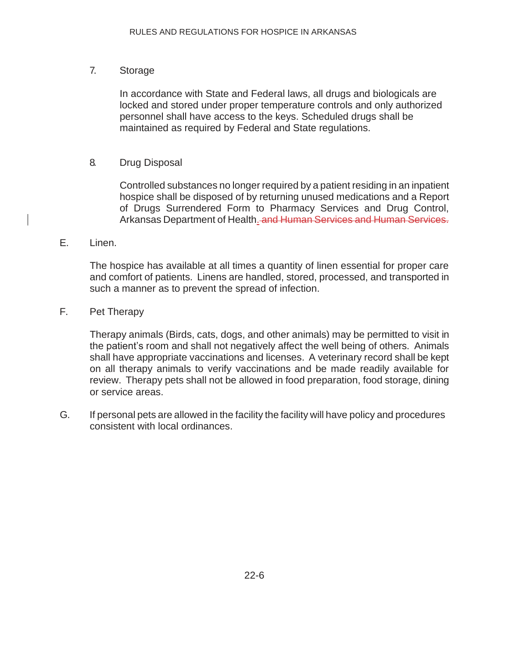### 7. Storage

In accordance with State and Federal laws, all drugs and biologicals are locked and stored under proper temperature controls and only authorized personnel shall have access to the keys. Scheduled drugs shall be maintained as required by Federal and State regulations.

### 8. Drug Disposal

Controlled substances no longer required by a patient residing in an inpatient hospice shall be disposed of by returning unused medications and a Report of Drugs Surrendered Form to Pharmacy Services and Drug Control, Arkansas Department of Health. and Human Services and Human Services.

#### E. Linen.

The hospice has available at all times a quantity of linen essential for proper care and comfort of patients. Linens are handled, stored, processed, and transported in such a manner as to prevent the spread of infection.

### F. Pet Therapy

Therapy animals (Birds, cats, dogs, and other animals) may be permitted to visit in the patient's room and shall not negatively affect the well being of others. Animals shall have appropriate vaccinations and licenses. A veterinary record shall be kept on all therapy animals to verify vaccinations and be made readily available for review. Therapy pets shall not be allowed in food preparation, food storage, dining or service areas.

G. If personal pets are allowed in the facility the facility will have policy and procedures consistent with local ordinances.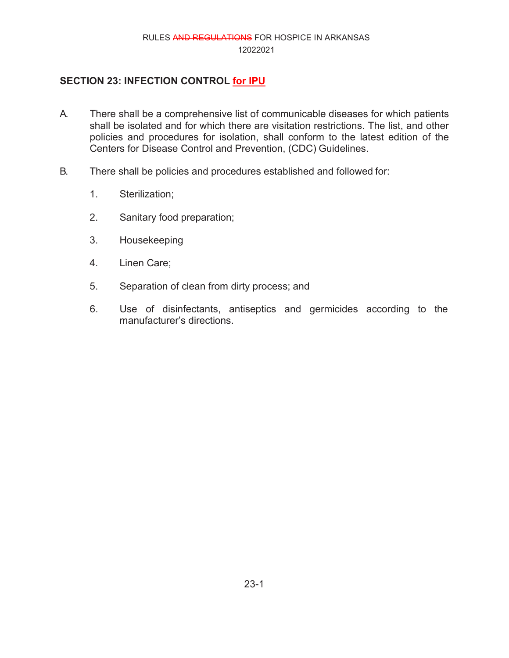# **SECTION 23: INFECTION CONTROL for IPU**

- A. There shall be a comprehensive list of communicable diseases for which patients shall be isolated and for which there are visitation restrictions. The list, and other policies and procedures for isolation, shall conform to the latest edition of the Centers for Disease Control and Prevention, (CDC) Guidelines.
- B. There shall be policies and procedures established and followed for:
	- 1. Sterilization;
	- 2. Sanitary food preparation;
	- 3. Housekeeping
	- 4. Linen Care;
	- 5. Separation of clean from dirty process; and
	- 6. Use of disinfectants, antiseptics and germicides according to the manufacturer's directions.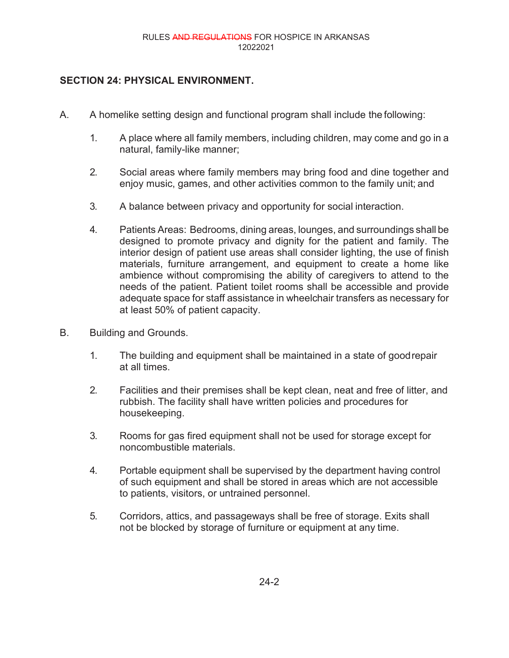### **SECTION 24: PHYSICAL ENVIRONMENT.**

- A. A homelike setting design and functional program shall include the following:
	- 1. A place where all family members, including children, may come and go in a natural, family-like manner;
	- 2. Social areas where family members may bring food and dine together and enjoy music, games, and other activities common to the family unit; and
	- 3. A balance between privacy and opportunity for social interaction.
	- 4. Patients Areas: Bedrooms, dining areas, lounges, and surroundings shall be designed to promote privacy and dignity for the patient and family. The interior design of patient use areas shall consider lighting, the use of finish materials, furniture arrangement, and equipment to create a home like ambience without compromising the ability of caregivers to attend to the needs of the patient. Patient toilet rooms shall be accessible and provide adequate space for staff assistance in wheelchair transfers as necessary for at least 50% of patient capacity.
- B. Building and Grounds.
	- 1. The building and equipment shall be maintained in a state of goodrepair at all times.
	- 2. Facilities and their premises shall be kept clean, neat and free of litter, and rubbish. The facility shall have written policies and procedures for housekeeping.
	- 3. Rooms for gas fired equipment shall not be used for storage except for noncombustible materials.
	- 4. Portable equipment shall be supervised by the department having control of such equipment and shall be stored in areas which are not accessible to patients, visitors, or untrained personnel.
	- 5. Corridors, attics, and passageways shall be free of storage. Exits shall not be blocked by storage of furniture or equipment at any time.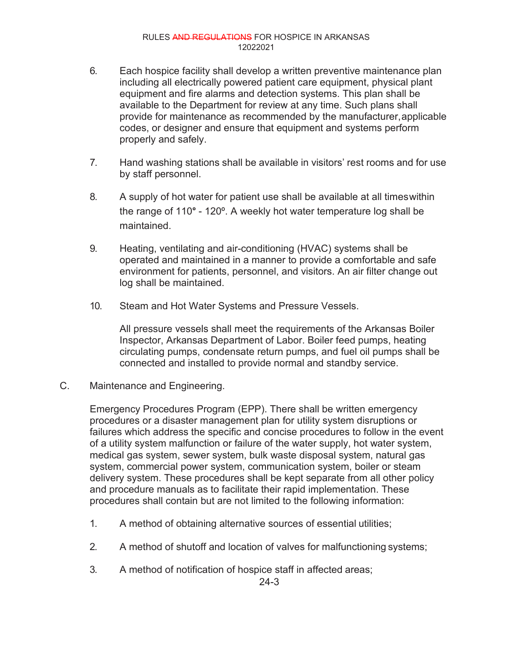- 6. Each hospice facility shall develop a written preventive maintenance plan including all electrically powered patient care equipment, physical plant equipment and fire alarms and detection systems. This plan shall be available to the Department for review at any time. Such plans shall provide for maintenance as recommended by the manufacturer,applicable codes, or designer and ensure that equipment and systems perform properly and safely.
- 7. Hand washing stations shall be available in visitors' rest rooms and for use by staff personnel.
- 8. A supply of hot water for patient use shall be available at all timeswithin the range of 110° - 120º. A weekly hot water temperature log shall be maintained.
- 9. Heating, ventilating and air-conditioning (HVAC) systems shall be operated and maintained in a manner to provide a comfortable and safe environment for patients, personnel, and visitors. An air filter change out log shall be maintained.
- 10. Steam and Hot Water Systems and Pressure Vessels.

All pressure vessels shall meet the requirements of the Arkansas Boiler Inspector, Arkansas Department of Labor. Boiler feed pumps, heating circulating pumps, condensate return pumps, and fuel oil pumps shall be connected and installed to provide normal and standby service.

C. Maintenance and Engineering.

Emergency Procedures Program (EPP). There shall be written emergency procedures or a disaster management plan for utility system disruptions or failures which address the specific and concise procedures to follow in the event of a utility system malfunction or failure of the water supply, hot water system, medical gas system, sewer system, bulk waste disposal system, natural gas system, commercial power system, communication system, boiler or steam delivery system. These procedures shall be kept separate from all other policy and procedure manuals as to facilitate their rapid implementation. These procedures shall contain but are not limited to the following information:

- 1. A method of obtaining alternative sources of essential utilities;
- 2. A method of shutoff and location of valves for malfunctioning systems;
- 3. A method of notification of hospice staff in affected areas;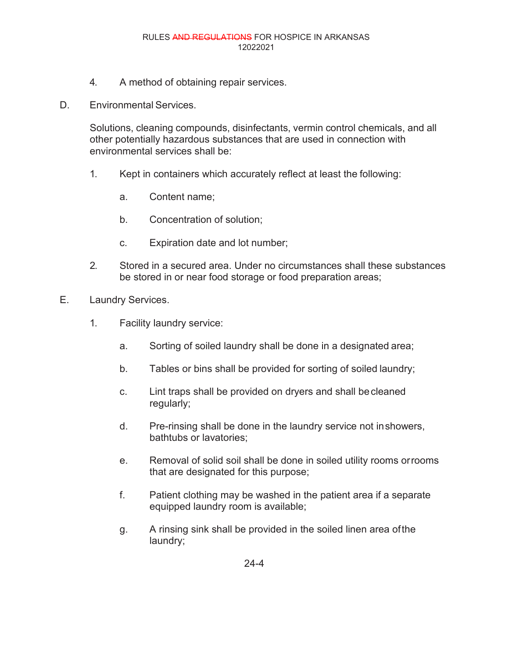- 4. A method of obtaining repair services.
- D. Environmental Services.

Solutions, cleaning compounds, disinfectants, vermin control chemicals, and all other potentially hazardous substances that are used in connection with environmental services shall be:

- 1. Kept in containers which accurately reflect at least the following:
	- a. Content name;
	- b. Concentration of solution;
	- c. Expiration date and lot number;
- 2. Stored in a secured area. Under no circumstances shall these substances be stored in or near food storage or food preparation areas;
- E. Laundry Services.
	- 1. Facility laundry service:
		- a. Sorting of soiled laundry shall be done in a designated area;
		- b. Tables or bins shall be provided for sorting of soiled laundry;
		- c. Lint traps shall be provided on dryers and shall becleaned regularly;
		- d. Pre-rinsing shall be done in the laundry service not inshowers, bathtubs or lavatories;
		- e. Removal of solid soil shall be done in soiled utility rooms orrooms that are designated for this purpose;
		- f. Patient clothing may be washed in the patient area if a separate equipped laundry room is available;
		- g. A rinsing sink shall be provided in the soiled linen area ofthe laundry;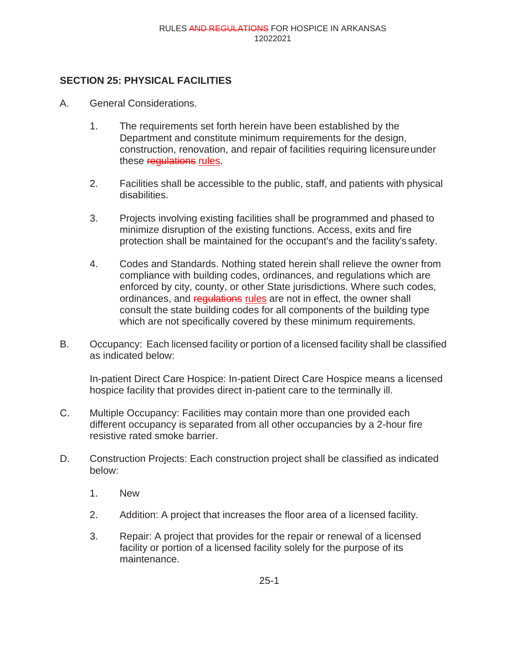# **SECTION 25: PHYSICAL FACILITIES**

- A. General Considerations.
	- 1. The requirements set forth herein have been established by the Department and constitute minimum requirements for the design, construction, renovation, and repair of facilities requiring licensureunder these regulations rules.
	- 2. Facilities shall be accessible to the public, staff, and patients with physical disabilities.
	- 3. Projects involving existing facilities shall be programmed and phased to minimize disruption of the existing functions. Access, exits and fire protection shall be maintained for the occupant's and the facility's safety.
	- 4. Codes and Standards. Nothing stated herein shall relieve the owner from compliance with building codes, ordinances, and regulations which are enforced by city, county, or other State jurisdictions. Where such codes, ordinances, and requiations rules are not in effect, the owner shall consult the state building codes for all components of the building type which are not specifically covered by these minimum requirements.
- B. Occupancy: Each licensed facility or portion of a licensed facility shall be classified as indicated below:

In-patient Direct Care Hospice: In-patient Direct Care Hospice means a licensed hospice facility that provides direct in-patient care to the terminally ill.

- C. Multiple Occupancy: Facilities may contain more than one provided each different occupancy is separated from all other occupancies by a 2-hour fire resistive rated smoke barrier.
- D. Construction Projects: Each construction project shall be classified as indicated below:
	- 1. New
	- 2. Addition: A project that increases the floor area of a licensed facility.
	- 3. Repair: A project that provides for the repair or renewal of a licensed facility or portion of a licensed facility solely for the purpose of its maintenance.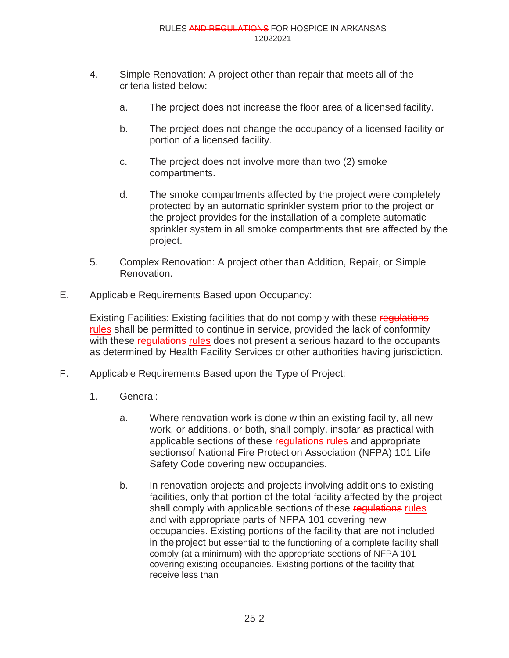- 4. Simple Renovation: A project other than repair that meets all of the criteria listed below:
	- a. The project does not increase the floor area of a licensed facility.
	- b. The project does not change the occupancy of a licensed facility or portion of a licensed facility.
	- c. The project does not involve more than two (2) smoke compartments.
	- d. The smoke compartments affected by the project were completely protected by an automatic sprinkler system prior to the project or the project provides for the installation of a complete automatic sprinkler system in all smoke compartments that are affected by the project.
- 5. Complex Renovation: A project other than Addition, Repair, or Simple Renovation.
- E. Applicable Requirements Based upon Occupancy:

Existing Facilities: Existing facilities that do not comply with these regulations rules shall be permitted to continue in service, provided the lack of conformity with these regulations rules does not present a serious hazard to the occupants as determined by Health Facility Services or other authorities having jurisdiction.

- F. Applicable Requirements Based upon the Type of Project:
	- 1. General:
		- a. Where renovation work is done within an existing facility, all new work, or additions, or both, shall comply, insofar as practical with applicable sections of these regulations rules and appropriate sectionsof National Fire Protection Association (NFPA) 101 Life Safety Code covering new occupancies.
		- b. In renovation projects and projects involving additions to existing facilities, only that portion of the total facility affected by the project shall comply with applicable sections of these regulations rules and with appropriate parts of NFPA 101 covering new occupancies. Existing portions of the facility that are not included in the project but essential to the functioning of a complete facility shall comply (at a minimum) with the appropriate sections of NFPA 101 covering existing occupancies. Existing portions of the facility that receive less than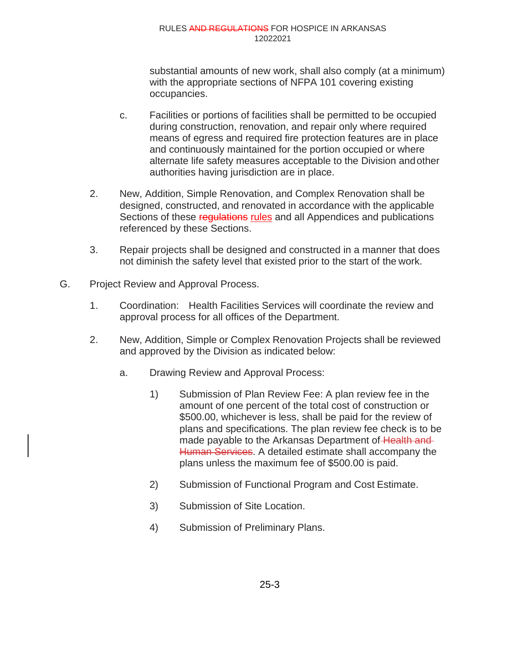substantial amounts of new work, shall also comply (at a minimum) with the appropriate sections of NFPA 101 covering existing occupancies.

- c. Facilities or portions of facilities shall be permitted to be occupied during construction, renovation, and repair only where required means of egress and required fire protection features are in place and continuously maintained for the portion occupied or where alternate life safety measures acceptable to the Division andother authorities having jurisdiction are in place.
- 2. New, Addition, Simple Renovation, and Complex Renovation shall be designed, constructed, and renovated in accordance with the applicable Sections of these regulations rules and all Appendices and publications referenced by these Sections.
- 3. Repair projects shall be designed and constructed in a manner that does not diminish the safety level that existed prior to the start of the work.
- G. Project Review and Approval Process.
	- 1. Coordination: Health Facilities Services will coordinate the review and approval process for all offices of the Department.
	- 2. New, Addition, Simple or Complex Renovation Projects shall be reviewed and approved by the Division as indicated below:
		- a. Drawing Review and Approval Process:
			- 1) Submission of Plan Review Fee: A plan review fee in the amount of one percent of the total cost of construction or \$500.00, whichever is less, shall be paid for the review of plans and specifications. The plan review fee check is to be made payable to the Arkansas Department of Health and Human Services. A detailed estimate shall accompany the plans unless the maximum fee of \$500.00 is paid.
			- 2) Submission of Functional Program and Cost Estimate.
			- 3) Submission of Site Location.
			- 4) Submission of Preliminary Plans.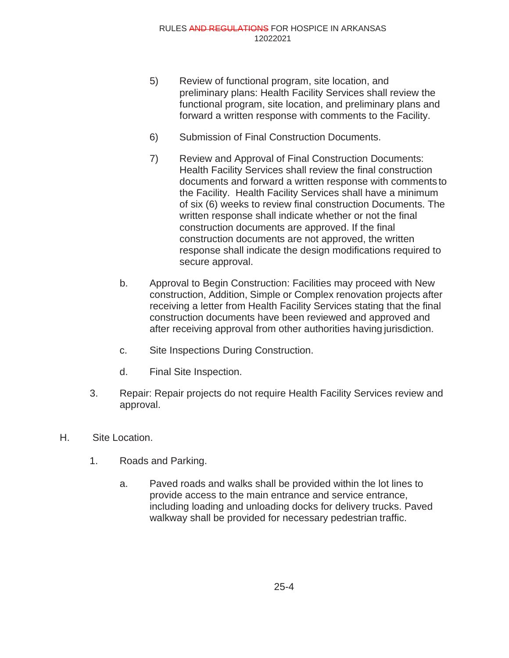- 5) Review of functional program, site location, and preliminary plans: Health Facility Services shall review the functional program, site location, and preliminary plans and forward a written response with comments to the Facility.
- 6) Submission of Final Construction Documents.
- 7) Review and Approval of Final Construction Documents: Health Facility Services shall review the final construction documents and forward a written response with comments to the Facility. Health Facility Services shall have a minimum of six (6) weeks to review final construction Documents. The written response shall indicate whether or not the final construction documents are approved. If the final construction documents are not approved, the written response shall indicate the design modifications required to secure approval.
- b. Approval to Begin Construction: Facilities may proceed with New construction, Addition, Simple or Complex renovation projects after receiving a letter from Health Facility Services stating that the final construction documents have been reviewed and approved and after receiving approval from other authorities having jurisdiction.
- c. Site Inspections During Construction.
- d. Final Site Inspection.
- 3. Repair: Repair projects do not require Health Facility Services review and approval.
- H. Site Location.
	- 1. Roads and Parking.
		- a. Paved roads and walks shall be provided within the lot lines to provide access to the main entrance and service entrance, including loading and unloading docks for delivery trucks. Paved walkway shall be provided for necessary pedestrian traffic.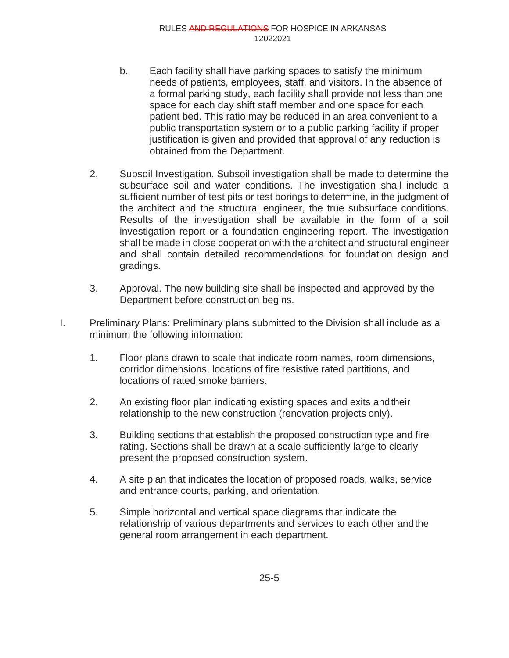- b. Each facility shall have parking spaces to satisfy the minimum needs of patients, employees, staff, and visitors. In the absence of a formal parking study, each facility shall provide not less than one space for each day shift staff member and one space for each patient bed. This ratio may be reduced in an area convenient to a public transportation system or to a public parking facility if proper justification is given and provided that approval of any reduction is obtained from the Department.
- 2. Subsoil Investigation. Subsoil investigation shall be made to determine the subsurface soil and water conditions. The investigation shall include a sufficient number of test pits or test borings to determine, in the judgment of the architect and the structural engineer, the true subsurface conditions. Results of the investigation shall be available in the form of a soil investigation report or a foundation engineering report. The investigation shall be made in close cooperation with the architect and structural engineer and shall contain detailed recommendations for foundation design and gradings.
- 3. Approval. The new building site shall be inspected and approved by the Department before construction begins.
- I. Preliminary Plans: Preliminary plans submitted to the Division shall include as a minimum the following information:
	- 1. Floor plans drawn to scale that indicate room names, room dimensions, corridor dimensions, locations of fire resistive rated partitions, and locations of rated smoke barriers.
	- 2. An existing floor plan indicating existing spaces and exits andtheir relationship to the new construction (renovation projects only).
	- 3. Building sections that establish the proposed construction type and fire rating. Sections shall be drawn at a scale sufficiently large to clearly present the proposed construction system.
	- 4. A site plan that indicates the location of proposed roads, walks, service and entrance courts, parking, and orientation.
	- 5. Simple horizontal and vertical space diagrams that indicate the relationship of various departments and services to each other andthe general room arrangement in each department.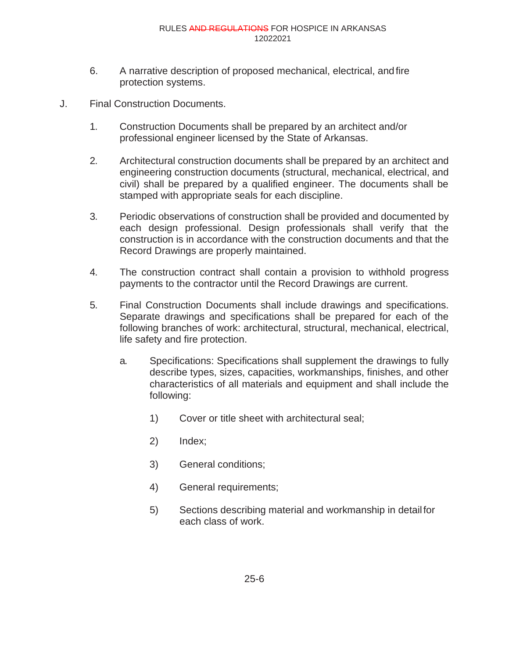- 6. A narrative description of proposed mechanical, electrical, andfire protection systems.
- J. Final Construction Documents.
	- 1. Construction Documents shall be prepared by an architect and/or professional engineer licensed by the State of Arkansas.
	- 2. Architectural construction documents shall be prepared by an architect and engineering construction documents (structural, mechanical, electrical, and civil) shall be prepared by a qualified engineer. The documents shall be stamped with appropriate seals for each discipline.
	- 3. Periodic observations of construction shall be provided and documented by each design professional. Design professionals shall verify that the construction is in accordance with the construction documents and that the Record Drawings are properly maintained.
	- 4. The construction contract shall contain a provision to withhold progress payments to the contractor until the Record Drawings are current.
	- 5. Final Construction Documents shall include drawings and specifications. Separate drawings and specifications shall be prepared for each of the following branches of work: architectural, structural, mechanical, electrical, life safety and fire protection.
		- a. Specifications: Specifications shall supplement the drawings to fully describe types, sizes, capacities, workmanships, finishes, and other characteristics of all materials and equipment and shall include the following:
			- 1) Cover or title sheet with architectural seal;
			- 2) Index;
			- 3) General conditions;
			- 4) General requirements;
			- 5) Sections describing material and workmanship in detailfor each class of work.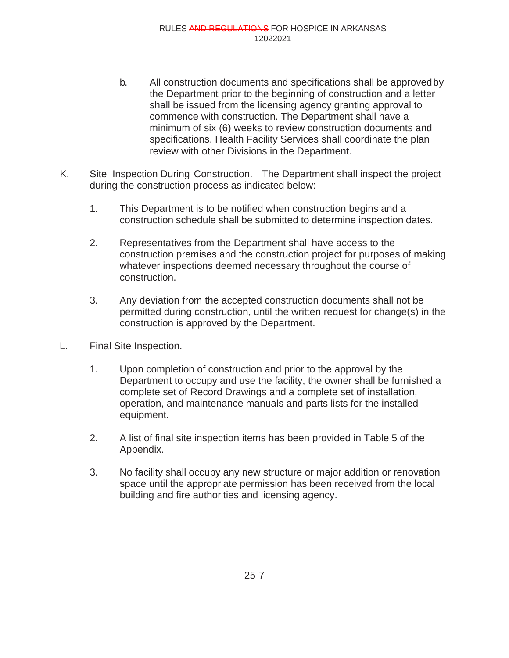- b. All construction documents and specifications shall be approvedby the Department prior to the beginning of construction and a letter shall be issued from the licensing agency granting approval to commence with construction. The Department shall have a minimum of six (6) weeks to review construction documents and specifications. Health Facility Services shall coordinate the plan review with other Divisions in the Department.
- K. Site Inspection During Construction. The Department shall inspect the project during the construction process as indicated below:
	- 1. This Department is to be notified when construction begins and a construction schedule shall be submitted to determine inspection dates.
	- 2. Representatives from the Department shall have access to the construction premises and the construction project for purposes of making whatever inspections deemed necessary throughout the course of construction.
	- 3. Any deviation from the accepted construction documents shall not be permitted during construction, until the written request for change(s) in the construction is approved by the Department.
- L. Final Site Inspection.
	- 1. Upon completion of construction and prior to the approval by the Department to occupy and use the facility, the owner shall be furnished a complete set of Record Drawings and a complete set of installation, operation, and maintenance manuals and parts lists for the installed equipment.
	- 2. A list of final site inspection items has been provided in Table 5 of the Appendix.
	- 3. No facility shall occupy any new structure or major addition or renovation space until the appropriate permission has been received from the local building and fire authorities and licensing agency.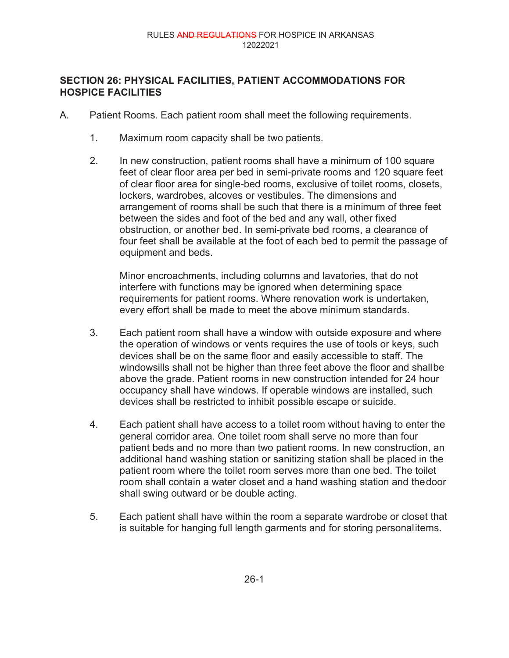# **SECTION 26: PHYSICAL FACILITIES, PATIENT ACCOMMODATIONS FOR HOSPICE FACILITIES**

- A. Patient Rooms. Each patient room shall meet the following requirements.
	- 1. Maximum room capacity shall be two patients.
	- 2. In new construction, patient rooms shall have a minimum of 100 square feet of clear floor area per bed in semi-private rooms and 120 square feet of clear floor area for single-bed rooms, exclusive of toilet rooms, closets, lockers, wardrobes, alcoves or vestibules. The dimensions and arrangement of rooms shall be such that there is a minimum of three feet between the sides and foot of the bed and any wall, other fixed obstruction, or another bed. In semi-private bed rooms, a clearance of four feet shall be available at the foot of each bed to permit the passage of equipment and beds.

Minor encroachments, including columns and lavatories, that do not interfere with functions may be ignored when determining space requirements for patient rooms. Where renovation work is undertaken, every effort shall be made to meet the above minimum standards.

- 3. Each patient room shall have a window with outside exposure and where the operation of windows or vents requires the use of tools or keys, such devices shall be on the same floor and easily accessible to staff. The windowsills shall not be higher than three feet above the floor and shallbe above the grade. Patient rooms in new construction intended for 24 hour occupancy shall have windows. If operable windows are installed, such devices shall be restricted to inhibit possible escape or suicide.
- 4. Each patient shall have access to a toilet room without having to enter the general corridor area. One toilet room shall serve no more than four patient beds and no more than two patient rooms. In new construction, an additional hand washing station or sanitizing station shall be placed in the patient room where the toilet room serves more than one bed. The toilet room shall contain a water closet and a hand washing station and thedoor shall swing outward or be double acting.
- 5. Each patient shall have within the room a separate wardrobe or closet that is suitable for hanging full length garments and for storing personalitems.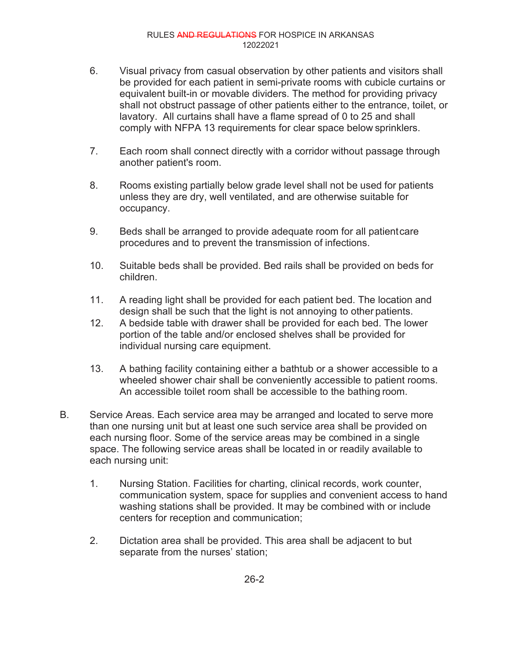- 6. Visual privacy from casual observation by other patients and visitors shall be provided for each patient in semi-private rooms with cubicle curtains or equivalent built-in or movable dividers. The method for providing privacy shall not obstruct passage of other patients either to the entrance, toilet, or lavatory. All curtains shall have a flame spread of 0 to 25 and shall comply with NFPA 13 requirements for clear space below sprinklers.
- 7. Each room shall connect directly with a corridor without passage through another patient's room.
- 8. Rooms existing partially below grade level shall not be used for patients unless they are dry, well ventilated, and are otherwise suitable for occupancy.
- 9. Beds shall be arranged to provide adequate room for all patientcare procedures and to prevent the transmission of infections.
- 10. Suitable beds shall be provided. Bed rails shall be provided on beds for children.
- 11. A reading light shall be provided for each patient bed. The location and design shall be such that the light is not annoying to other patients.
- 12. A bedside table with drawer shall be provided for each bed. The lower portion of the table and/or enclosed shelves shall be provided for individual nursing care equipment.
- 13. A bathing facility containing either a bathtub or a shower accessible to a wheeled shower chair shall be conveniently accessible to patient rooms. An accessible toilet room shall be accessible to the bathing room.
- B. Service Areas. Each service area may be arranged and located to serve more than one nursing unit but at least one such service area shall be provided on each nursing floor. Some of the service areas may be combined in a single space. The following service areas shall be located in or readily available to each nursing unit:
	- 1. Nursing Station. Facilities for charting, clinical records, work counter, communication system, space for supplies and convenient access to hand washing stations shall be provided. It may be combined with or include centers for reception and communication;
	- 2. Dictation area shall be provided. This area shall be adjacent to but separate from the nurses' station;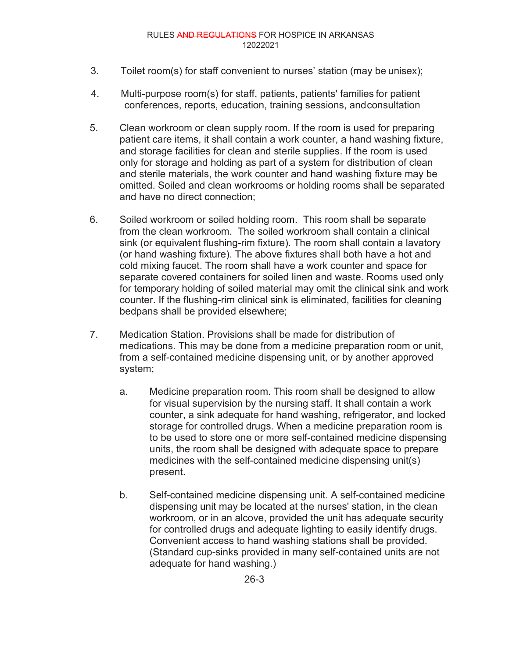- 3. Toilet room(s) for staff convenient to nurses' station (may be unisex);
- 4. Multi-purpose room(s) for staff, patients, patients' families for patient conferences, reports, education, training sessions, andconsultation
- 5. Clean workroom or clean supply room. If the room is used for preparing patient care items, it shall contain a work counter, a hand washing fixture, and storage facilities for clean and sterile supplies. If the room is used only for storage and holding as part of a system for distribution of clean and sterile materials, the work counter and hand washing fixture may be omitted. Soiled and clean workrooms or holding rooms shall be separated and have no direct connection;
- 6. Soiled workroom or soiled holding room. This room shall be separate from the clean workroom. The soiled workroom shall contain a clinical sink (or equivalent flushing-rim fixture). The room shall contain a lavatory (or hand washing fixture). The above fixtures shall both have a hot and cold mixing faucet. The room shall have a work counter and space for separate covered containers for soiled linen and waste. Rooms used only for temporary holding of soiled material may omit the clinical sink and work counter. If the flushing-rim clinical sink is eliminated, facilities for cleaning bedpans shall be provided elsewhere;
- 7. Medication Station. Provisions shall be made for distribution of medications. This may be done from a medicine preparation room or unit, from a self-contained medicine dispensing unit, or by another approved system;
	- a. Medicine preparation room. This room shall be designed to allow for visual supervision by the nursing staff. It shall contain a work counter, a sink adequate for hand washing, refrigerator, and locked storage for controlled drugs. When a medicine preparation room is to be used to store one or more self-contained medicine dispensing units, the room shall be designed with adequate space to prepare medicines with the self-contained medicine dispensing unit(s) present.
	- b. Self-contained medicine dispensing unit. A self-contained medicine dispensing unit may be located at the nurses' station, in the clean workroom, or in an alcove, provided the unit has adequate security for controlled drugs and adequate lighting to easily identify drugs. Convenient access to hand washing stations shall be provided. (Standard cup-sinks provided in many self-contained units are not adequate for hand washing.)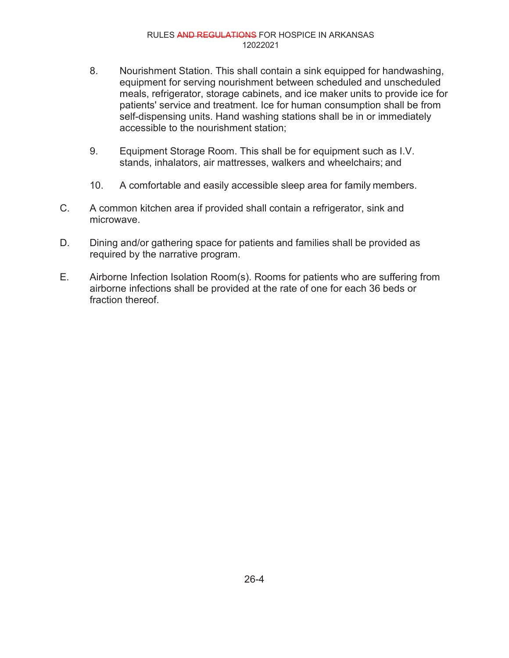- 8. Nourishment Station. This shall contain a sink equipped for handwashing, equipment for serving nourishment between scheduled and unscheduled meals, refrigerator, storage cabinets, and ice maker units to provide ice for patients' service and treatment. Ice for human consumption shall be from self-dispensing units. Hand washing stations shall be in or immediately accessible to the nourishment station;
- 9. Equipment Storage Room. This shall be for equipment such as I.V. stands, inhalators, air mattresses, walkers and wheelchairs; and
- 10. A comfortable and easily accessible sleep area for family members.
- C. A common kitchen area if provided shall contain a refrigerator, sink and microwave.
- D. Dining and/or gathering space for patients and families shall be provided as required by the narrative program.
- E. Airborne Infection Isolation Room(s). Rooms for patients who are suffering from airborne infections shall be provided at the rate of one for each 36 beds or fraction thereof.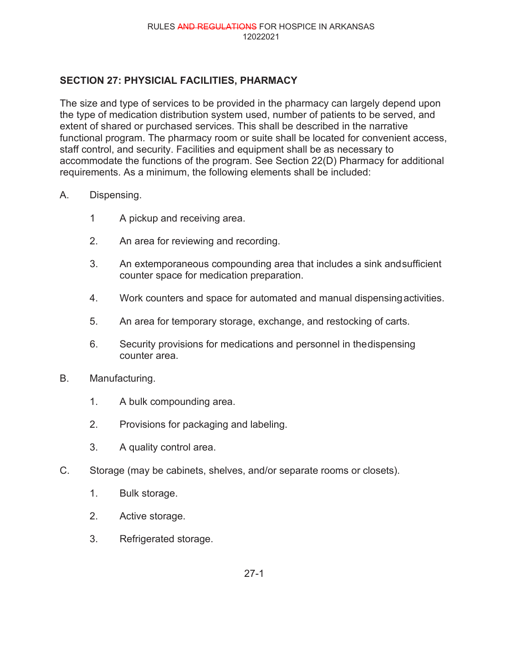## **SECTION 27: PHYSICIAL FACILITIES, PHARMACY**

The size and type of services to be provided in the pharmacy can largely depend upon the type of medication distribution system used, number of patients to be served, and extent of shared or purchased services. This shall be described in the narrative functional program. The pharmacy room or suite shall be located for convenient access, staff control, and security. Facilities and equipment shall be as necessary to accommodate the functions of the program. See Section 22(D) Pharmacy for additional requirements. As a minimum, the following elements shall be included:

### A. Dispensing.

- 1 A pickup and receiving area.
- 2. An area for reviewing and recording.
- 3. An extemporaneous compounding area that includes a sink andsufficient counter space for medication preparation.
- 4. Work counters and space for automated and manual dispensingactivities.
- 5. An area for temporary storage, exchange, and restocking of carts.
- 6. Security provisions for medications and personnel in thedispensing counter area.
- B. Manufacturing.
	- 1. A bulk compounding area.
	- 2. Provisions for packaging and labeling.
	- 3. A quality control area.
- C. Storage (may be cabinets, shelves, and/or separate rooms or closets).
	- 1. Bulk storage.
	- 2. Active storage.
	- 3. Refrigerated storage.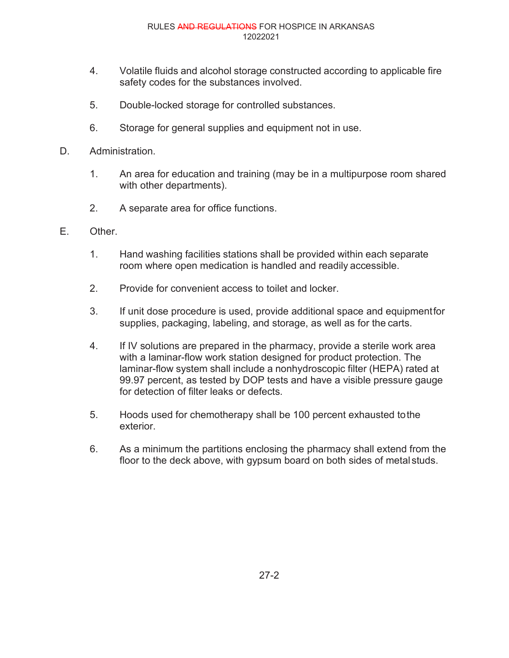- 4. Volatile fluids and alcohol storage constructed according to applicable fire safety codes for the substances involved.
- 5. Double-locked storage for controlled substances.
- 6. Storage for general supplies and equipment not in use.
- D. Administration.
	- 1. An area for education and training (may be in a multipurpose room shared with other departments).
	- 2. A separate area for office functions.
- E. Other.
	- 1. Hand washing facilities stations shall be provided within each separate room where open medication is handled and readily accessible.
	- 2. Provide for convenient access to toilet and locker.
	- 3. If unit dose procedure is used, provide additional space and equipmentfor supplies, packaging, labeling, and storage, as well as for the carts.
	- 4. If IV solutions are prepared in the pharmacy, provide a sterile work area with a laminar-flow work station designed for product protection. The laminar-flow system shall include a nonhydroscopic filter (HEPA) rated at 99.97 percent, as tested by DOP tests and have a visible pressure gauge for detection of filter leaks or defects.
	- 5. Hoods used for chemotherapy shall be 100 percent exhausted tothe exterior.
	- 6. As a minimum the partitions enclosing the pharmacy shall extend from the floor to the deck above, with gypsum board on both sides of metal studs.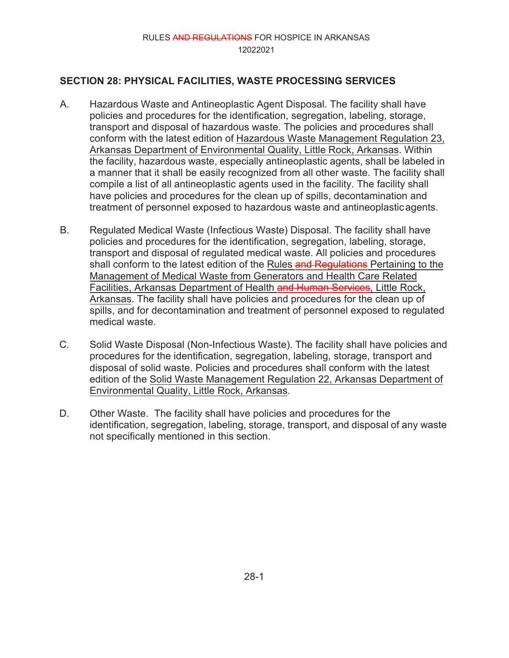# **SECTION 28: PHYSICAL FACILITIES, WASTE PROCESSING SERVICES**

- A. Hazardous Waste and Antineoplastic Agent Disposal. The facility shall have policies and procedures for the identification, segregation, labeling, storage, transport and disposal of hazardous waste. The policies and procedures shall conform with the latest edition of Hazardous Waste Management Regulation 23, Arkansas Department of Environmental Quality, Little Rock, Arkansas. Within the facility, hazardous waste, especially antineoplastic agents, shall be labeled in a manner that it shall be easily recognized from all other waste. The facility shall compile a list of all antineoplastic agents used in the facility. The facility shall have policies and procedures for the clean up of spills, decontamination and treatment of personnel exposed to hazardous waste and antineoplasticagents.
- B. Regulated Medical Waste (Infectious Waste) Disposal. The facility shall have policies and procedures for the identification, segregation, labeling, storage, transport and disposal of regulated medical waste. All policies and procedures shall conform to the latest edition of the Rules and Regulations Pertaining to the Management of Medical Waste from Generators and Health Care Related Facilities, Arkansas Department of Health and Human Services, Little Rock, Arkansas. The facility shall have policies and procedures for the clean up of spills, and for decontamination and treatment of personnel exposed to regulated medical waste.
- C. Solid Waste Disposal (Non-Infectious Waste). The facility shall have policies and procedures for the identification, segregation, labeling, storage, transport and disposal of solid waste. Policies and procedures shall conform with the latest edition of the Solid Waste Management Regulation 22, Arkansas Department of Environmental Quality, Little Rock, Arkansas.
- D. Other Waste. The facility shall have policies and procedures for the identification, segregation, labeling, storage, transport, and disposal of any waste not specifically mentioned in this section.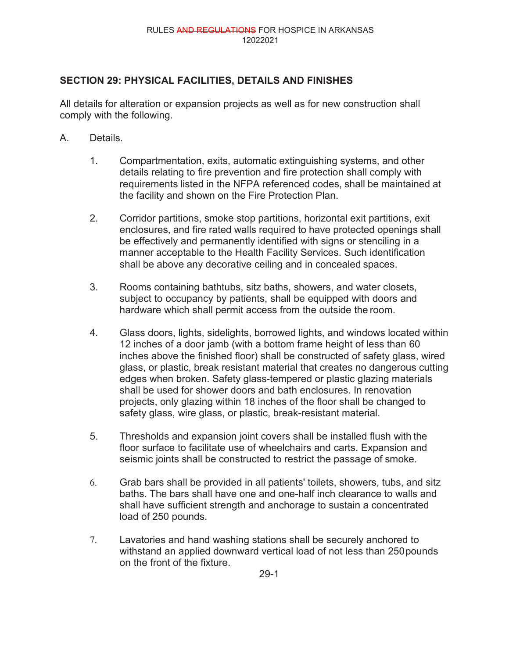# **SECTION 29: PHYSICAL FACILITIES, DETAILS AND FINISHES**

All details for alteration or expansion projects as well as for new construction shall comply with the following.

- A. Details.
	- 1. Compartmentation, exits, automatic extinguishing systems, and other details relating to fire prevention and fire protection shall comply with requirements listed in the NFPA referenced codes, shall be maintained at the facility and shown on the Fire Protection Plan.
	- 2. Corridor partitions, smoke stop partitions, horizontal exit partitions, exit enclosures, and fire rated walls required to have protected openings shall be effectively and permanently identified with signs or stenciling in a manner acceptable to the Health Facility Services. Such identification shall be above any decorative ceiling and in concealed spaces.
	- 3. Rooms containing bathtubs, sitz baths, showers, and water closets, subject to occupancy by patients, shall be equipped with doors and hardware which shall permit access from the outside the room.
	- 4. Glass doors, lights, sidelights, borrowed lights, and windows located within 12 inches of a door jamb (with a bottom frame height of less than 60 inches above the finished floor) shall be constructed of safety glass, wired glass, or plastic, break resistant material that creates no dangerous cutting edges when broken. Safety glass-tempered or plastic glazing materials shall be used for shower doors and bath enclosures. In renovation projects, only glazing within 18 inches of the floor shall be changed to safety glass, wire glass, or plastic, break-resistant material.
	- 5. Thresholds and expansion joint covers shall be installed flush with the floor surface to facilitate use of wheelchairs and carts. Expansion and seismic joints shall be constructed to restrict the passage of smoke.
	- 6. Grab bars shall be provided in all patients' toilets, showers, tubs, and sitz baths. The bars shall have one and one-half inch clearance to walls and shall have sufficient strength and anchorage to sustain a concentrated load of 250 pounds.
	- 7. Lavatories and hand washing stations shall be securely anchored to withstand an applied downward vertical load of not less than 250pounds on the front of the fixture.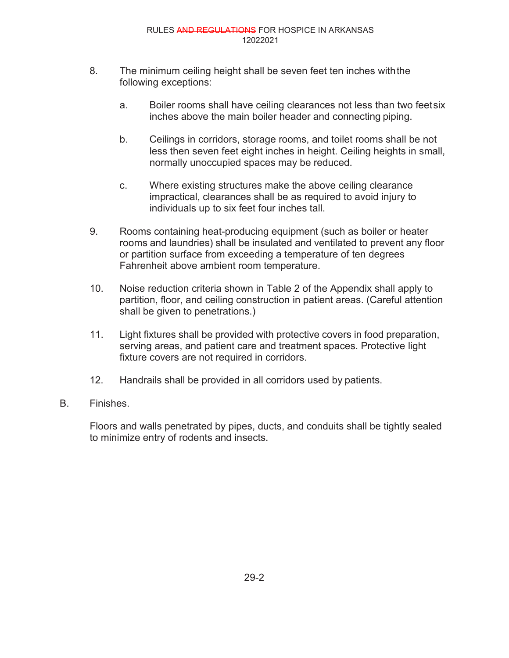- 8. The minimum ceiling height shall be seven feet ten inches withthe following exceptions:
	- a. Boiler rooms shall have ceiling clearances not less than two feet six inches above the main boiler header and connecting piping.
	- b. Ceilings in corridors, storage rooms, and toilet rooms shall be not less then seven feet eight inches in height. Ceiling heights in small, normally unoccupied spaces may be reduced.
	- c. Where existing structures make the above ceiling clearance impractical, clearances shall be as required to avoid injury to individuals up to six feet four inches tall.
- 9. Rooms containing heat-producing equipment (such as boiler or heater rooms and laundries) shall be insulated and ventilated to prevent any floor or partition surface from exceeding a temperature of ten degrees Fahrenheit above ambient room temperature.
- 10. Noise reduction criteria shown in Table 2 of the Appendix shall apply to partition, floor, and ceiling construction in patient areas. (Careful attention shall be given to penetrations.)
- 11. Light fixtures shall be provided with protective covers in food preparation, serving areas, and patient care and treatment spaces. Protective light fixture covers are not required in corridors.
- 12. Handrails shall be provided in all corridors used by patients.
- B. Finishes.

Floors and walls penetrated by pipes, ducts, and conduits shall be tightly sealed to minimize entry of rodents and insects.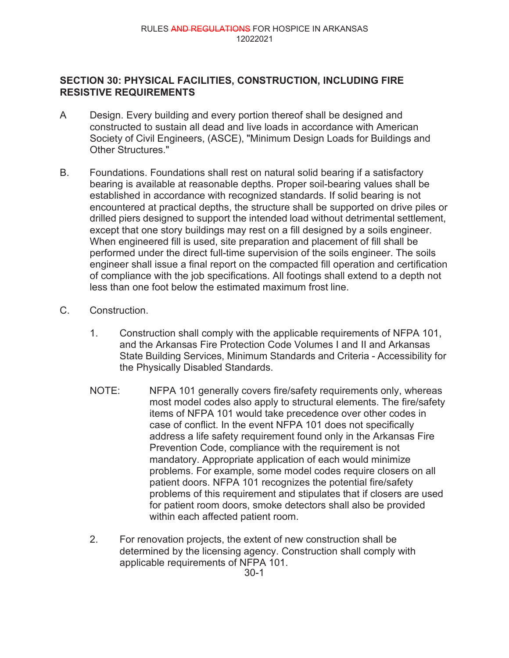### **SECTION 30: PHYSICAL FACILITIES, CONSTRUCTION, INCLUDING FIRE RESISTIVE REQUIREMENTS**

- A Design. Every building and every portion thereof shall be designed and constructed to sustain all dead and live loads in accordance with American Society of Civil Engineers, (ASCE), "Minimum Design Loads for Buildings and Other Structures."
- B. Foundations. Foundations shall rest on natural solid bearing if a satisfactory bearing is available at reasonable depths. Proper soil-bearing values shall be established in accordance with recognized standards. If solid bearing is not encountered at practical depths, the structure shall be supported on drive piles or drilled piers designed to support the intended load without detrimental settlement, except that one story buildings may rest on a fill designed by a soils engineer. When engineered fill is used, site preparation and placement of fill shall be performed under the direct full-time supervision of the soils engineer. The soils engineer shall issue a final report on the compacted fill operation and certification of compliance with the job specifications. All footings shall extend to a depth not less than one foot below the estimated maximum frost line.
- C. Construction.
	- 1. Construction shall comply with the applicable requirements of NFPA 101, and the Arkansas Fire Protection Code Volumes I and II and Arkansas State Building Services, Minimum Standards and Criteria - Accessibility for the Physically Disabled Standards.
	- NOTE: NFPA 101 generally covers fire/safety requirements only, whereas most model codes also apply to structural elements. The fire/safety items of NFPA 101 would take precedence over other codes in case of conflict. In the event NFPA 101 does not specifically address a life safety requirement found only in the Arkansas Fire Prevention Code, compliance with the requirement is not mandatory. Appropriate application of each would minimize problems. For example, some model codes require closers on all patient doors. NFPA 101 recognizes the potential fire/safety problems of this requirement and stipulates that if closers are used for patient room doors, smoke detectors shall also be provided within each affected patient room.
	- 2. For renovation projects, the extent of new construction shall be determined by the licensing agency. Construction shall comply with applicable requirements of NFPA 101.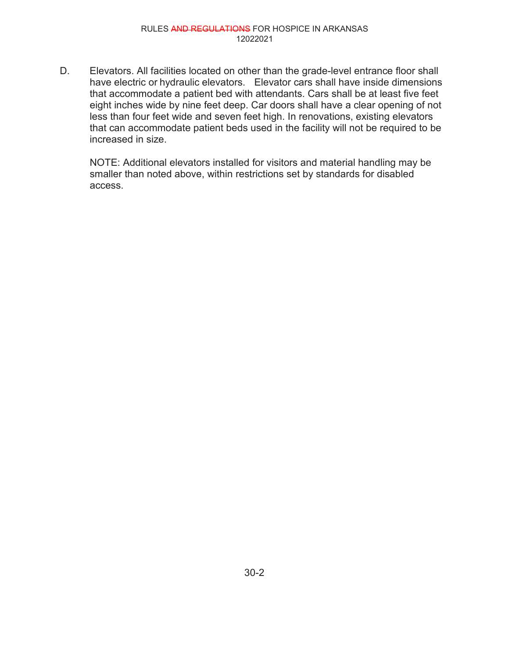D. Elevators. All facilities located on other than the grade-level entrance floor shall have electric or hydraulic elevators. Elevator cars shall have inside dimensions that accommodate a patient bed with attendants. Cars shall be at least five feet eight inches wide by nine feet deep. Car doors shall have a clear opening of not less than four feet wide and seven feet high. In renovations, existing elevators that can accommodate patient beds used in the facility will not be required to be increased in size.

NOTE: Additional elevators installed for visitors and material handling may be smaller than noted above, within restrictions set by standards for disabled access.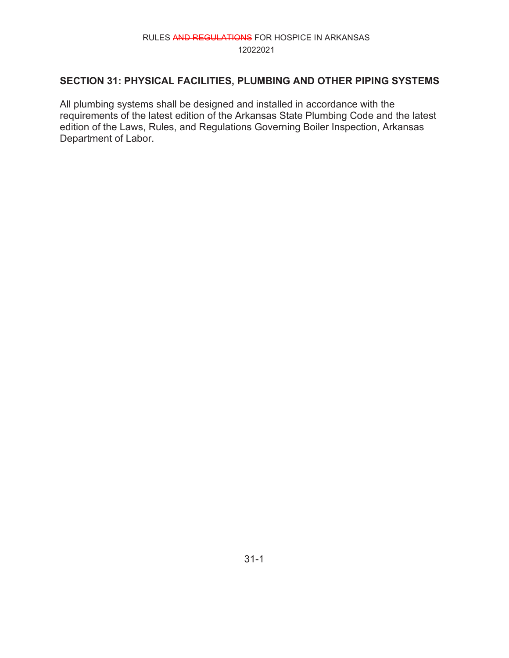# **SECTION 31: PHYSICAL FACILITIES, PLUMBING AND OTHER PIPING SYSTEMS**

All plumbing systems shall be designed and installed in accordance with the requirements of the latest edition of the Arkansas State Plumbing Code and the latest edition of the Laws, Rules, and Regulations Governing Boiler Inspection, Arkansas Department of Labor.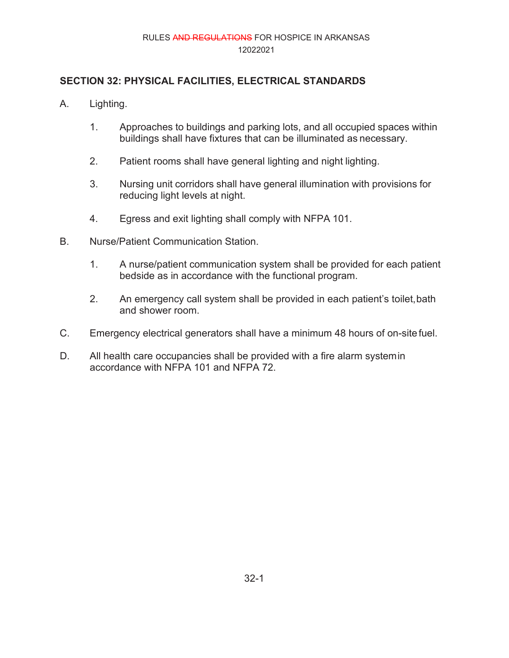# **SECTION 32: PHYSICAL FACILITIES, ELECTRICAL STANDARDS**

- A. Lighting.
	- 1. Approaches to buildings and parking lots, and all occupied spaces within buildings shall have fixtures that can be illuminated as necessary.
	- 2. Patient rooms shall have general lighting and night lighting.
	- 3. Nursing unit corridors shall have general illumination with provisions for reducing light levels at night.
	- 4. Egress and exit lighting shall comply with NFPA 101.
- B. Nurse/Patient Communication Station.
	- 1. A nurse/patient communication system shall be provided for each patient bedside as in accordance with the functional program.
	- 2. An emergency call system shall be provided in each patient's toilet, bath and shower room.
- C. Emergency electrical generators shall have a minimum 48 hours of on-site fuel.
- D. All health care occupancies shall be provided with a fire alarm systemin accordance with NFPA 101 and NFPA 72.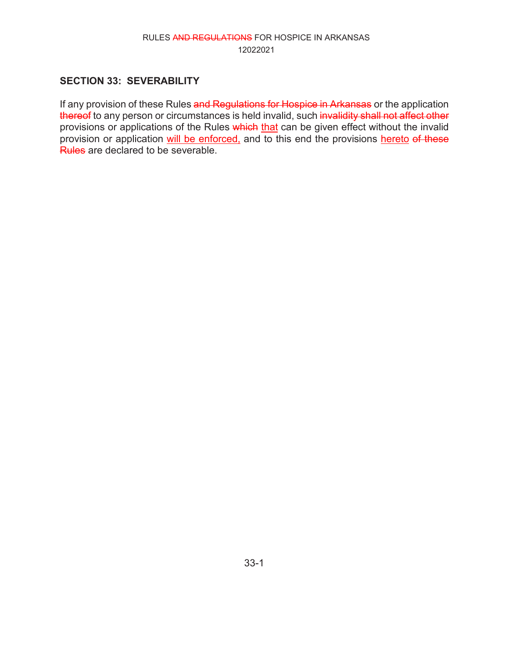# **SECTION 33: SEVERABILITY**

If any provision of these Rules and Regulations for Hospice in Arkansas or the application thereof to any person or circumstances is held invalid, such invalidity shall not affect other provisions or applications of the Rules which that can be given effect without the invalid provision or application will be enforced, and to this end the provisions hereto of these Rules are declared to be severable.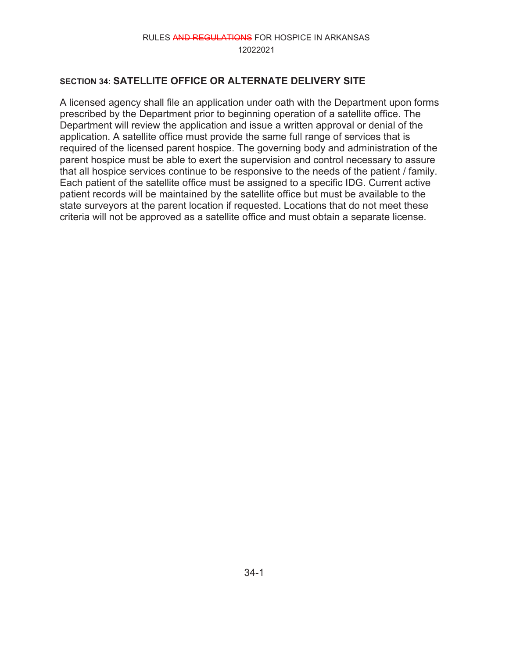### **SECTION 34: SATELLITE OFFICE OR ALTERNATE DELIVERY SITE**

A licensed agency shall file an application under oath with the Department upon forms prescribed by the Department prior to beginning operation of a satellite office. The Department will review the application and issue a written approval or denial of the application. A satellite office must provide the same full range of services that is required of the licensed parent hospice. The governing body and administration of the parent hospice must be able to exert the supervision and control necessary to assure that all hospice services continue to be responsive to the needs of the patient / family. Each patient of the satellite office must be assigned to a specific IDG. Current active patient records will be maintained by the satellite office but must be available to the state surveyors at the parent location if requested. Locations that do not meet these criteria will not be approved as a satellite office and must obtain a separate license.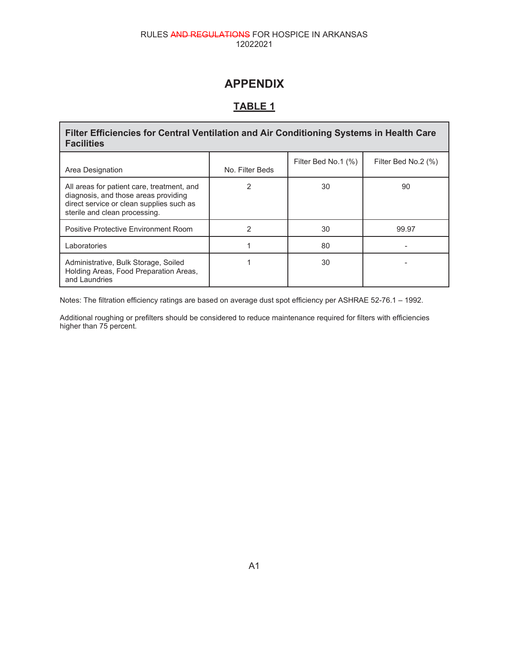# **APPENDIX**

# **TABLE 1**

Г

| Filter Efficiencies for Central Ventilation and Air Conditioning Systems in Health Care<br><b>Facilities</b>                                                    |                 |                     |                     |  |  |  |  |
|-----------------------------------------------------------------------------------------------------------------------------------------------------------------|-----------------|---------------------|---------------------|--|--|--|--|
| Area Designation                                                                                                                                                | No. Filter Beds | Filter Bed No.1 (%) | Filter Bed No.2 (%) |  |  |  |  |
| All areas for patient care, treatment, and<br>diagnosis, and those areas providing<br>direct service or clean supplies such as<br>sterile and clean processing. | 2               | 30                  | 90                  |  |  |  |  |
| Positive Protective Environment Room                                                                                                                            | 2               | 30                  | 99.97               |  |  |  |  |
| Laboratories                                                                                                                                                    |                 | 80                  |                     |  |  |  |  |
| Administrative, Bulk Storage, Soiled<br>Holding Areas, Food Preparation Areas,<br>and Laundries                                                                 |                 | 30                  |                     |  |  |  |  |

Notes: The filtration efficiency ratings are based on average dust spot efficiency per ASHRAE 52-76.1 – 1992.

Additional roughing or prefilters should be considered to reduce maintenance required for filters with efficiencies higher than 75 percent.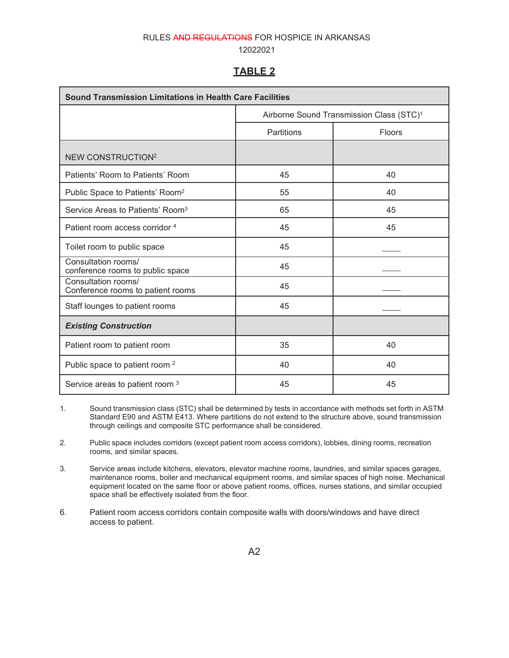#### 12022021

#### **TABLE 2**

| <b>Sound Transmission Limitations in Health Care Facilities</b> |                                                      |        |  |  |  |  |
|-----------------------------------------------------------------|------------------------------------------------------|--------|--|--|--|--|
|                                                                 | Airborne Sound Transmission Class (STC) <sup>1</sup> |        |  |  |  |  |
|                                                                 | Partitions                                           | Floors |  |  |  |  |
| <b>NEW CONSTRUCTION<sup>2</sup></b>                             |                                                      |        |  |  |  |  |
| Patients' Room to Patients' Room                                | 45                                                   | 40     |  |  |  |  |
| Public Space to Patients' Room <sup>2</sup>                     | 55                                                   | 40     |  |  |  |  |
| Service Areas to Patients' Room <sup>3</sup>                    | 65                                                   | 45     |  |  |  |  |
| Patient room access corridor 4                                  | 45                                                   | 45     |  |  |  |  |
| Toilet room to public space                                     | 45                                                   |        |  |  |  |  |
| Consultation rooms/<br>conference rooms to public space         | 45                                                   |        |  |  |  |  |
| Consultation rooms/<br>Conference rooms to patient rooms        | 45                                                   |        |  |  |  |  |
| Staff lounges to patient rooms                                  | 45                                                   |        |  |  |  |  |
| <b>Existing Construction</b>                                    |                                                      |        |  |  |  |  |
| Patient room to patient room                                    | 35                                                   | 40     |  |  |  |  |
| Public space to patient room <sup>2</sup>                       | 40                                                   | 40     |  |  |  |  |
| Service areas to patient room 3                                 | 45                                                   | 45     |  |  |  |  |

1. Sound transmission class (STC) shall be determined by tests in accordance with methods set forth in ASTM Standard E90 and ASTM E413. Where partitions do not extend to the structure above, sound transmission through ceilings and composite STC performance shall be considered.

2. Public space includes corridors (except patient room access corridors), lobbies, dining rooms, recreation rooms, and similar spaces.

3. Service areas include kitchens, elevators, elevator machine rooms, laundries, and similar spaces garages, maintenance rooms, boiler and mechanical equipment rooms, and similar spaces of high noise. Mechanical equipment located on the same floor or above patient rooms, offices, nurses stations, and similar occupied space shall be effectively isolated from the floor.

6. Patient room access corridors contain composite walls with doors/windows and have direct access to patient.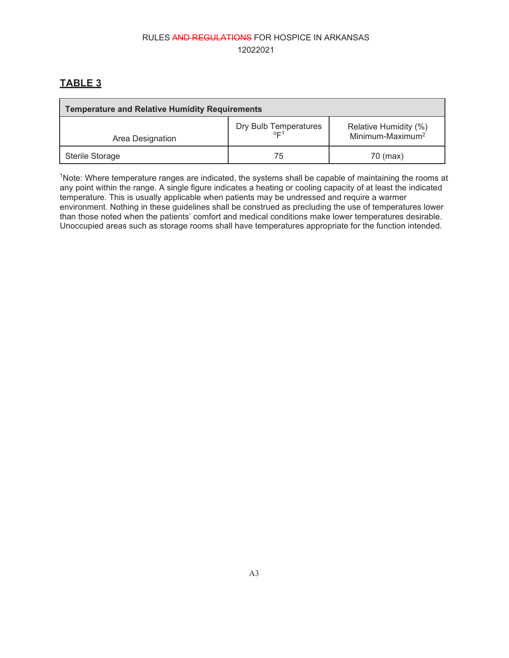# **TABLE 3**

| <b>Temperature and Relative Humidity Requirements</b> |                                         |                                                       |  |  |  |
|-------------------------------------------------------|-----------------------------------------|-------------------------------------------------------|--|--|--|
| Area Designation                                      | Dry Bulb Temperatures<br>0 <sub>1</sub> | Relative Humidity (%)<br>Minimum-Maximum <sup>2</sup> |  |  |  |
| Sterile Storage                                       | 75                                      | 70 (max)                                              |  |  |  |

<sup>1</sup>Note: Where temperature ranges are indicated, the systems shall be capable of maintaining the rooms at any point within the range. A single figure indicates a heating or cooling capacity of at least the indicated temperature. This is usually applicable when patients may be undressed and require a warmer environment. Nothing in these guidelines shall be construed as precluding the use of temperatures lower than those noted when the patients' comfort and medical conditions make lower temperatures desirable. Unoccupied areas such as storage rooms shall have temperatures appropriate for the function intended.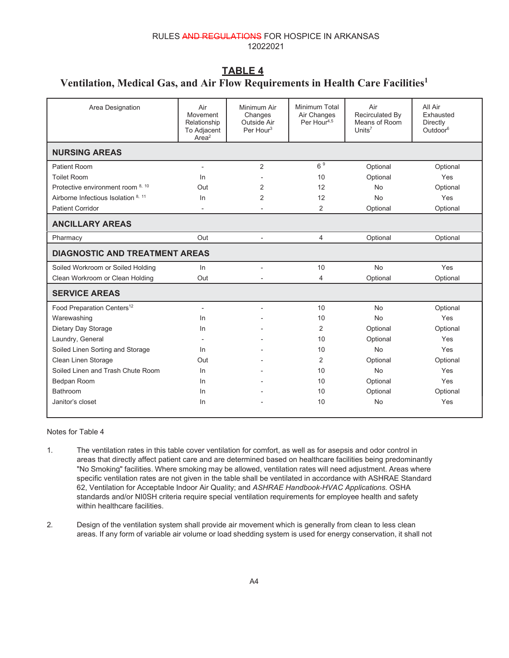# **TABLE 4**

### **Ventilation, Medical Gas, and Air Flow Requirements in Health Care Facilities1**

| Area Designation                       | Air<br>Movement<br>Relationship<br>To Adjacent<br>Area <sup>2</sup> | Minimum Air<br>Changes<br>Outside Air<br>Per Hour <sup>3</sup> | Minimum Total<br>Air Changes<br>Per Hour <sup>4,5</sup> | Air<br>Recirculated By<br>Means of Room<br>Units <sup>7</sup> | All Air<br>Exhausted<br><b>Directly</b><br>Outdoor $6$ |  |
|----------------------------------------|---------------------------------------------------------------------|----------------------------------------------------------------|---------------------------------------------------------|---------------------------------------------------------------|--------------------------------------------------------|--|
| <b>NURSING AREAS</b>                   |                                                                     |                                                                |                                                         |                                                               |                                                        |  |
| Patient Room                           | $\overline{\phantom{a}}$                                            | 2                                                              | 6 <sup>9</sup>                                          | Optional                                                      | Optional                                               |  |
| <b>Toilet Room</b>                     | In                                                                  |                                                                | 10                                                      | Optional                                                      | Yes                                                    |  |
| Protective environment room 8, 10      | Out                                                                 | 2                                                              | 12                                                      | <b>No</b>                                                     | Optional                                               |  |
| Airborne Infectious Isolation 8, 11    | In                                                                  | $\overline{2}$                                                 | 12                                                      | <b>No</b>                                                     | Yes                                                    |  |
| <b>Patient Corridor</b>                | $\overline{\phantom{a}}$                                            |                                                                | $\overline{2}$                                          | Optional                                                      | Optional                                               |  |
| <b>ANCILLARY AREAS</b>                 |                                                                     |                                                                |                                                         |                                                               |                                                        |  |
| Pharmacy                               | Out                                                                 |                                                                | $\overline{4}$                                          | Optional                                                      | Optional                                               |  |
| <b>DIAGNOSTIC AND TREATMENT AREAS</b>  |                                                                     |                                                                |                                                         |                                                               |                                                        |  |
| Soiled Workroom or Soiled Holding      | $\ln$                                                               | $\overline{a}$                                                 | 10                                                      | <b>No</b>                                                     | Yes                                                    |  |
| Clean Workroom or Clean Holding        | Out                                                                 |                                                                | 4                                                       | Optional                                                      | Optional                                               |  |
| <b>SERVICE AREAS</b>                   |                                                                     |                                                                |                                                         |                                                               |                                                        |  |
| Food Preparation Centers <sup>12</sup> | $\blacksquare$                                                      |                                                                | 10                                                      | <b>No</b>                                                     | Optional                                               |  |
| Warewashing                            | In                                                                  |                                                                | 10                                                      | No.                                                           | Yes                                                    |  |
| Dietary Day Storage                    | In                                                                  |                                                                | 2                                                       | Optional                                                      | Optional                                               |  |
| Laundry, General                       |                                                                     |                                                                | 10                                                      | Optional                                                      | Yes                                                    |  |
| Soiled Linen Sorting and Storage       | In.                                                                 |                                                                | 10                                                      | <b>No</b>                                                     | Yes                                                    |  |
| Clean Linen Storage                    | Out                                                                 |                                                                | $\overline{2}$                                          | Optional                                                      | Optional                                               |  |
| Soiled Linen and Trash Chute Room      | In                                                                  |                                                                | 10                                                      | <b>No</b>                                                     | Yes                                                    |  |
| Bedpan Room                            | In                                                                  |                                                                | 10                                                      | Optional                                                      | Yes                                                    |  |
| Bathroom                               | In                                                                  |                                                                | 10                                                      | Optional                                                      | Optional                                               |  |
| Janitor's closet                       | In.                                                                 |                                                                | 10                                                      | <b>No</b>                                                     | Yes                                                    |  |

Notes for Table 4

- 1. The ventilation rates in this table cover ventilation for comfort, as well as for asepsis and odor control in areas that directly affect patient care and are determined based on healthcare facilities being predominantly "No Smoking" facilities. Where smoking may be allowed, ventilation rates will need adjustment. Areas where specific ventilation rates are not given in the table shall be ventilated in accordance with ASHRAE Standard 62, Ventilation for Acceptable Indoor Air Quality; and *ASHRAE Handbook-HVAC Applications.* OSHA standards and/or NI0SH criteria require special ventilation requirements for employee health and safety within healthcare facilities.
- 2. Design of the ventilation system shall provide air movement which is generally from clean to less clean areas. If any form of variable air volume or load shedding system is used for energy conservation, it shall not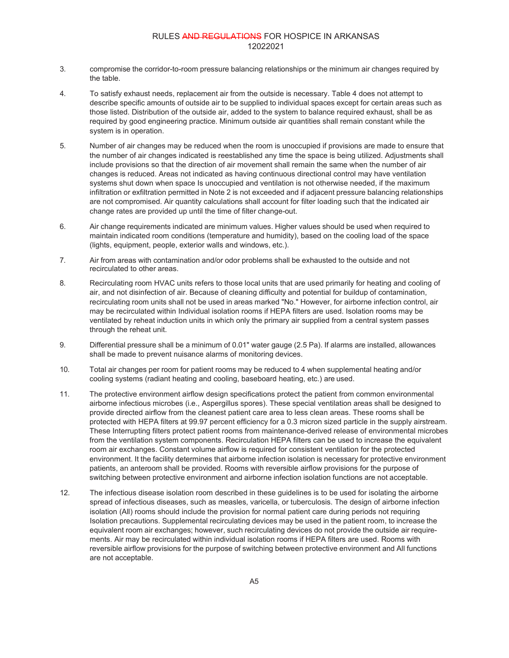- 3. compromise the corridor-to-room pressure balancing relationships or the minimum air changes required by the table.
- 4. To satisfy exhaust needs, replacement air from the outside is necessary. Table 4 does not attempt to describe specific amounts of outside air to be supplied to individual spaces except for certain areas such as those listed. Distribution of the outside air, added to the system to balance required exhaust, shall be as required by good engineering practice. Minimum outside air quantities shall remain constant while the system is in operation.
- 5. Number of air changes may be reduced when the room is unoccupied if provisions are made to ensure that the number of air changes indicated is reestablished any time the space is being utilized. Adjustments shall include provisions so that the direction of air movement shall remain the same when the number of air changes is reduced. Areas not indicated as having continuous directional control may have ventilation systems shut down when space Is unoccupied and ventilation is not otherwise needed, if the maximum infiltration or exfiltration permitted in Note 2 is not exceeded and if adjacent pressure balancing relationships are not compromised. Air quantity calculations shall account for filter loading such that the indicated air change rates are provided up until the time of filter change-out.
- 6. Air change requirements indicated are minimum values. Higher values should be used when required to maintain indicated room conditions (temperature and humidity), based on the cooling load of the space (lights, equipment, people, exterior walls and windows, etc.).
- 7. Air from areas with contamination and/or odor problems shall be exhausted to the outside and not recirculated to other areas.
- 8. Recirculating room HVAC units refers to those local units that are used primarily for heating and cooling of air, and not disinfection of air. Because of cleaning difficulty and potential for buildup of contamination, recirculating room units shall not be used in areas marked "No." However, for airborne infection control, air may be recirculated within Individual isolation rooms if HEPA filters are used. Isolation rooms may be ventilated by reheat induction units in which only the primary air supplied from a central system passes through the reheat unit.
- 9. Differential pressure shall be a minimum of 0.01" water gauge (2.5 Pa). If alarms are installed, allowances shall be made to prevent nuisance alarms of monitoring devices.
- 10. Total air changes per room for patient rooms may be reduced to 4 when supplemental heating and/or cooling systems (radiant heating and cooling, baseboard heating, etc.) are used.
- 11. The protective environment airflow design specifications protect the patient from common environmental airborne infectious microbes (i.e., Aspergillus spores). These special ventilation areas shall be designed to provide directed airflow from the cleanest patient care area to less clean areas. These rooms shall be protected with HEPA filters at 99.97 percent efficiency for a 0.3 micron sized particle in the supply airstream. These Interrupting filters protect patient rooms from maintenance-derived release of environmental microbes from the ventilation system components. Recirculation HEPA filters can be used to increase the equivalent room air exchanges. Constant volume airflow is required for consistent ventilation for the protected environment. It the facility determines that airborne infection isolation is necessary for protective environment patients, an anteroom shall be provided. Rooms with reversible airflow provisions for the purpose of switching between protective environment and airborne infection isolation functions are not acceptable.
- 12. The infectious disease isolation room described in these guidelines is to be used for isolating the airborne spread of infectious diseases, such as measles, varicella, or tuberculosis. The design of airborne infection isolation (All) rooms should include the provision for normal patient care during periods not requiring Isolation precautions. Supplemental recirculating devices may be used in the patient room, to increase the equivalent room air exchanges; however, such recirculating devices do not provide the outside air requirements. Air may be recirculated within individual isolation rooms if HEPA filters are used. Rooms with reversible airflow provisions for the purpose of switching between protective environment and All functions are not acceptable.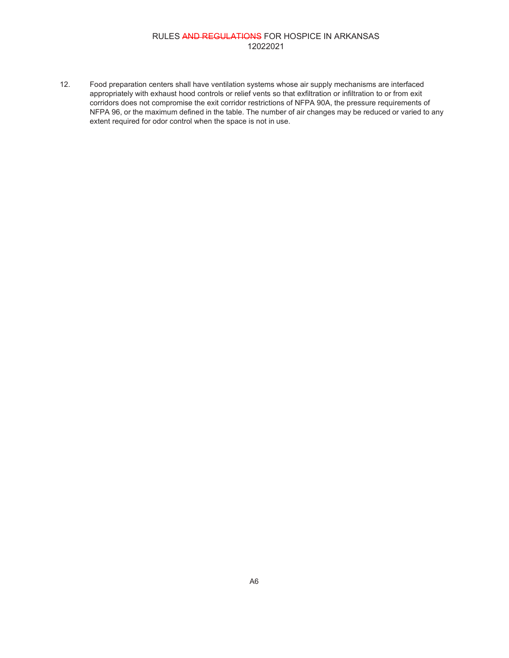12. Food preparation centers shall have ventilation systems whose air supply mechanisms are interfaced appropriately with exhaust hood controls or relief vents so that exfiltration or infiltration to or from exit corridors does not compromise the exit corridor restrictions of NFPA 90A, the pressure requirements of NFPA 96, or the maximum defined in the table. The number of air changes may be reduced or varied to any extent required for odor control when the space is not in use.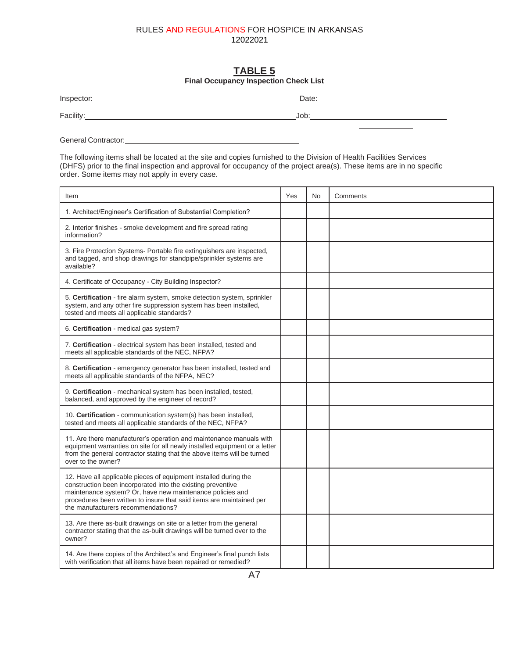# **TABLE 5**

|  | <b>Final Occupancy Inspection Check List</b> |
|--|----------------------------------------------|
|--|----------------------------------------------|

| Inspector: | Date: |
|------------|-------|
| Facility.  | Job   |

General Contractor: etc. and the contractor:

The following items shall be located at the site and copies furnished to the Division of Health Facilities Services (DHFS) prior to the final inspection and approval for occupancy of the project area(s). These items are in no specific order. Some items may not apply in every case.

| Item                                                                                                                                                                                                                                                                                                       | Yes | <b>No</b> | Comments |
|------------------------------------------------------------------------------------------------------------------------------------------------------------------------------------------------------------------------------------------------------------------------------------------------------------|-----|-----------|----------|
| 1. Architect/Engineer's Certification of Substantial Completion?                                                                                                                                                                                                                                           |     |           |          |
| 2. Interior finishes - smoke development and fire spread rating<br>information?                                                                                                                                                                                                                            |     |           |          |
| 3. Fire Protection Systems- Portable fire extinguishers are inspected,<br>and tagged, and shop drawings for standpipe/sprinkler systems are<br>available?                                                                                                                                                  |     |           |          |
| 4. Certificate of Occupancy - City Building Inspector?                                                                                                                                                                                                                                                     |     |           |          |
| 5. Certification - fire alarm system, smoke detection system, sprinkler<br>system, and any other fire suppression system has been installed,<br>tested and meets all applicable standards?                                                                                                                 |     |           |          |
| 6. Certification - medical gas system?                                                                                                                                                                                                                                                                     |     |           |          |
| 7. Certification - electrical system has been installed, tested and<br>meets all applicable standards of the NEC, NFPA?                                                                                                                                                                                    |     |           |          |
| 8. Certification - emergency generator has been installed, tested and<br>meets all applicable standards of the NFPA, NEC?                                                                                                                                                                                  |     |           |          |
| 9. Certification - mechanical system has been installed, tested,<br>balanced, and approved by the engineer of record?                                                                                                                                                                                      |     |           |          |
| 10. Certification - communication system(s) has been installed,<br>tested and meets all applicable standards of the NEC, NFPA?                                                                                                                                                                             |     |           |          |
| 11. Are there manufacturer's operation and maintenance manuals with<br>equipment warranties on site for all newly installed equipment or a letter<br>from the general contractor stating that the above items will be turned<br>over to the owner?                                                         |     |           |          |
| 12. Have all applicable pieces of equipment installed during the<br>construction been incorporated into the existing preventive<br>maintenance system? Or, have new maintenance policies and<br>procedures been written to insure that said items are maintained per<br>the manufacturers recommendations? |     |           |          |
| 13. Are there as-built drawings on site or a letter from the general<br>contractor stating that the as-built drawings will be turned over to the<br>owner?                                                                                                                                                 |     |           |          |
| 14. Are there copies of the Architect's and Engineer's final punch lists<br>with verification that all items have been repaired or remedied?                                                                                                                                                               |     |           |          |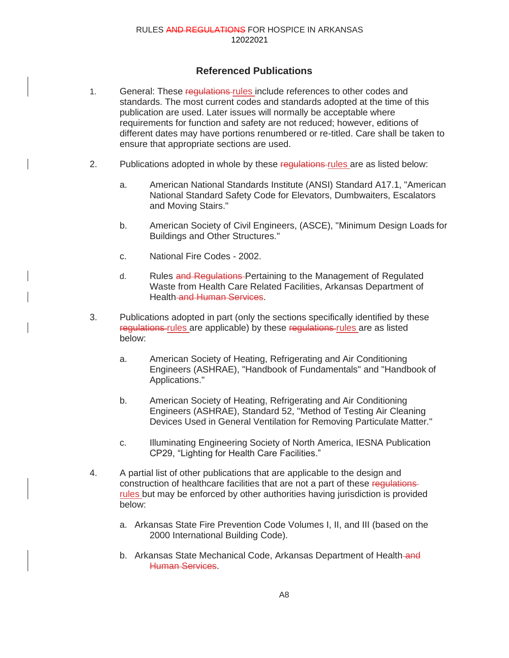## **Referenced Publications**

- 1. General: These requisitions-rules include references to other codes and standards. The most current codes and standards adopted at the time of this publication are used. Later issues will normally be acceptable where requirements for function and safety are not reduced; however, editions of different dates may have portions renumbered or re-titled. Care shall be taken to ensure that appropriate sections are used.
- 2. Publications adopted in whole by these regulations rules are as listed below:
	- a. American National Standards Institute (ANSI) Standard A17.1, "American National Standard Safety Code for Elevators, Dumbwaiters, Escalators and Moving Stairs."
	- b. American Society of Civil Engineers, (ASCE), "Minimum Design Loads for Buildings and Other Structures."
	- c. National Fire Codes 2002.
	- d. Rules and Regulations-Pertaining to the Management of Regulated Waste from Health Care Related Facilities, Arkansas Department of Health and Human Services.
- 3. Publications adopted in part (only the sections specifically identified by these regulations-rules are applicable) by these regulations-rules are as listed below:
	- a. American Society of Heating, Refrigerating and Air Conditioning Engineers (ASHRAE), "Handbook of Fundamentals" and "Handbook of Applications."
	- b. American Society of Heating, Refrigerating and Air Conditioning Engineers (ASHRAE), Standard 52, "Method of Testing Air Cleaning Devices Used in General Ventilation for Removing Particulate Matter."
	- c. Illuminating Engineering Society of North America, IESNA Publication CP29, "Lighting for Health Care Facilities."
- 4. A partial list of other publications that are applicable to the design and construction of healthcare facilities that are not a part of these regulations rules but may be enforced by other authorities having jurisdiction is provided below:
	- a. Arkansas State Fire Prevention Code Volumes I, II, and III (based on the 2000 International Building Code).
	- b. Arkansas State Mechanical Code, Arkansas Department of Health-and Human Services.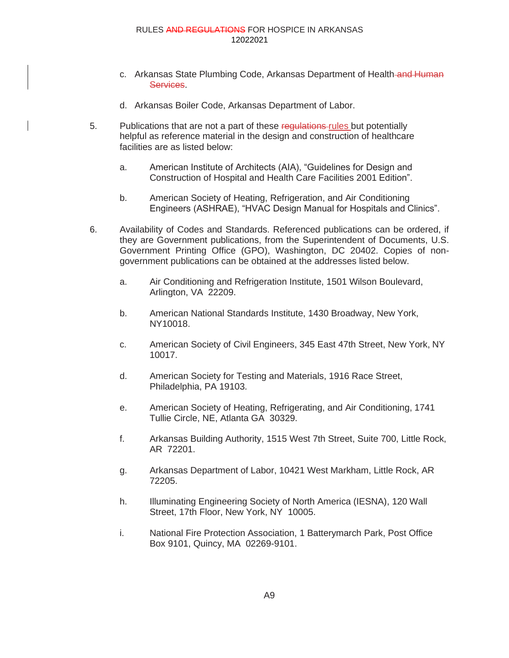- c. Arkansas State Plumbing Code, Arkansas Department of Health and Human Services.
- d. Arkansas Boiler Code, Arkansas Department of Labor.
- 5. Publications that are not a part of these regulations-rules but potentially helpful as reference material in the design and construction of healthcare facilities are as listed below:
	- a. American Institute of Architects (AIA), "Guidelines for Design and Construction of Hospital and Health Care Facilities 2001 Edition".
	- b. American Society of Heating, Refrigeration, and Air Conditioning Engineers (ASHRAE), "HVAC Design Manual for Hospitals and Clinics".
- 6. Availability of Codes and Standards. Referenced publications can be ordered, if they are Government publications, from the Superintendent of Documents, U.S. Government Printing Office (GPO), Washington, DC 20402. Copies of nongovernment publications can be obtained at the addresses listed below.
	- a. Air Conditioning and Refrigeration Institute, 1501 Wilson Boulevard, Arlington, VA 22209.
	- b. American National Standards Institute, 1430 Broadway, New York, NY10018.
	- c. American Society of Civil Engineers, 345 East 47th Street, New York, NY 10017.
	- d. American Society for Testing and Materials, 1916 Race Street, Philadelphia, PA 19103.
	- e. American Society of Heating, Refrigerating, and Air Conditioning, 1741 Tullie Circle, NE, Atlanta GA 30329.
	- f. Arkansas Building Authority, 1515 West 7th Street, Suite 700, Little Rock, AR 72201.
	- g. Arkansas Department of Labor, 10421 West Markham, Little Rock, AR 72205.
	- h. Illuminating Engineering Society of North America (IESNA), 120 Wall Street, 17th Floor, New York, NY 10005.
	- i. National Fire Protection Association, 1 Batterymarch Park, Post Office Box 9101, Quincy, MA 02269-9101.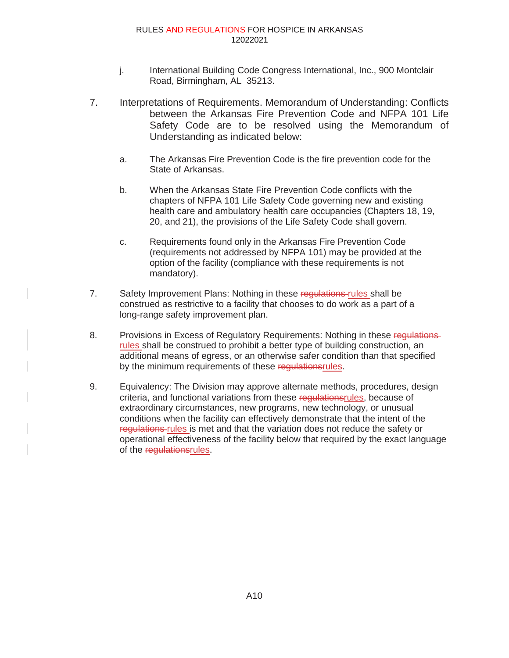- j. International Building Code Congress International, Inc., 900 Montclair Road, Birmingham, AL 35213.
- 7. Interpretations of Requirements. Memorandum of Understanding: Conflicts between the Arkansas Fire Prevention Code and NFPA 101 Life Safety Code are to be resolved using the Memorandum of Understanding as indicated below:
	- a. The Arkansas Fire Prevention Code is the fire prevention code for the State of Arkansas.
	- b. When the Arkansas State Fire Prevention Code conflicts with the chapters of NFPA 101 Life Safety Code governing new and existing health care and ambulatory health care occupancies (Chapters 18, 19, 20, and 21), the provisions of the Life Safety Code shall govern.
	- c. Requirements found only in the Arkansas Fire Prevention Code (requirements not addressed by NFPA 101) may be provided at the option of the facility (compliance with these requirements is not mandatory).
- 7. Safety Improvement Plans: Nothing in these regulations rules shall be construed as restrictive to a facility that chooses to do work as a part of a long-range safety improvement plan.
- 8. Provisions in Excess of Regulatory Requirements: Nothing in these regulationsrules shall be construed to prohibit a better type of building construction, an additional means of egress, or an otherwise safer condition than that specified by the minimum requirements of these regulationsrules.
- 9. Equivalency: The Division may approve alternate methods, procedures, design criteria, and functional variations from these regulationsrules, because of extraordinary circumstances, new programs, new technology, or unusual conditions when the facility can effectively demonstrate that the intent of the regulations rules is met and that the variation does not reduce the safety or operational effectiveness of the facility below that required by the exact language of the regulationsrules.